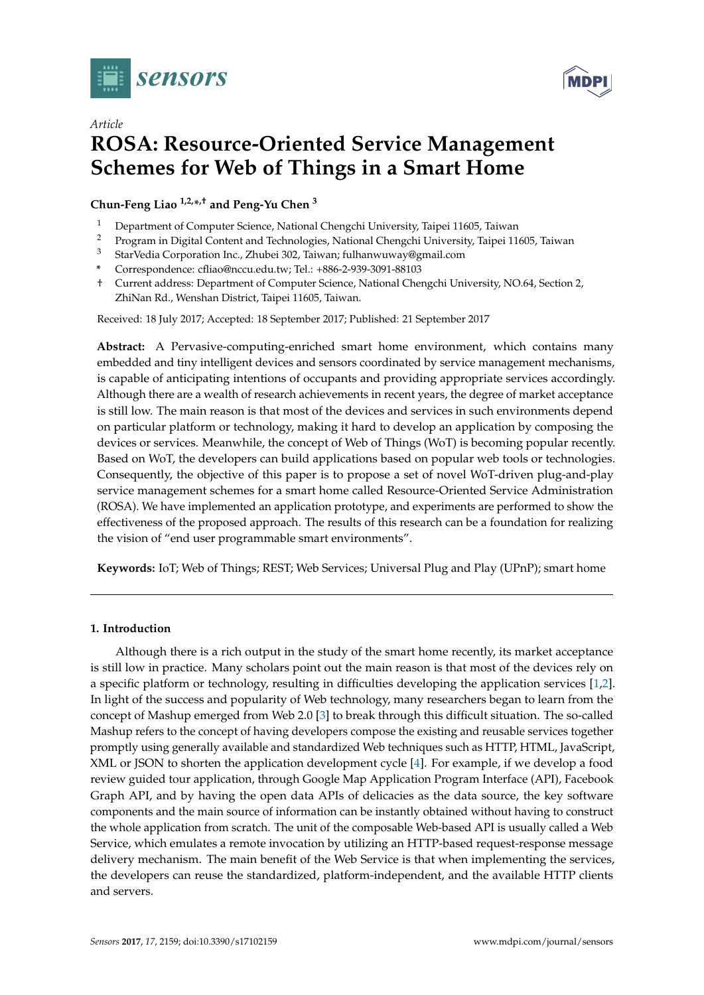

*Article*



# **ROSA: Resource-Oriented Service Management Schemes for Web of Things in a Smart Home**

**Chun-Feng Liao 1,2,\* ,† and Peng-Yu Chen <sup>3</sup>**

- <sup>1</sup> Department of Computer Science, National Chengchi University, Taipei 11605, Taiwan<br><sup>2</sup> Program in Digital Content and Technologies, National Chengchi University, Taipei 11
- <sup>2</sup> Program in Digital Content and Technologies, National Chengchi University, Taipei 11605, Taiwan <sup>3</sup> StarVedia Companiion Inc., Zhubei 202. Taiwan fulhanyuway@email.com
- <sup>3</sup> StarVedia Corporation Inc., Zhubei 302, Taiwan; fulhanwuway@gmail.com
- **\*** Correspondence: cfliao@nccu.edu.tw; Tel.: +886-2-939-3091-88103
- † Current address: Department of Computer Science, National Chengchi University, NO.64, Section 2, ZhiNan Rd., Wenshan District, Taipei 11605, Taiwan.

Received: 18 July 2017; Accepted: 18 September 2017; Published: 21 September 2017

**Abstract:** A Pervasive-computing-enriched smart home environment, which contains many embedded and tiny intelligent devices and sensors coordinated by service management mechanisms, is capable of anticipating intentions of occupants and providing appropriate services accordingly. Although there are a wealth of research achievements in recent years, the degree of market acceptance is still low. The main reason is that most of the devices and services in such environments depend on particular platform or technology, making it hard to develop an application by composing the devices or services. Meanwhile, the concept of Web of Things (WoT) is becoming popular recently. Based on WoT, the developers can build applications based on popular web tools or technologies. Consequently, the objective of this paper is to propose a set of novel WoT-driven plug-and-play service management schemes for a smart home called Resource-Oriented Service Administration (ROSA). We have implemented an application prototype, and experiments are performed to show the effectiveness of the proposed approach. The results of this research can be a foundation for realizing the vision of "end user programmable smart environments".

**Keywords:** IoT; Web of Things; REST; Web Services; Universal Plug and Play (UPnP); smart home

# **1. Introduction**

Although there is a rich output in the study of the smart home recently, its market acceptance is still low in practice. Many scholars point out the main reason is that most of the devices rely on a specific platform or technology, resulting in difficulties developing the application services [\[1,](#page-24-0)[2\]](#page-24-1). In light of the success and popularity of Web technology, many researchers began to learn from the concept of Mashup emerged from Web 2.0 [\[3\]](#page-24-2) to break through this difficult situation. The so-called Mashup refers to the concept of having developers compose the existing and reusable services together promptly using generally available and standardized Web techniques such as HTTP, HTML, JavaScript, XML or JSON to shorten the application development cycle [\[4\]](#page-24-3). For example, if we develop a food review guided tour application, through Google Map Application Program Interface (API), Facebook Graph API, and by having the open data APIs of delicacies as the data source, the key software components and the main source of information can be instantly obtained without having to construct the whole application from scratch. The unit of the composable Web-based API is usually called a Web Service, which emulates a remote invocation by utilizing an HTTP-based request-response message delivery mechanism. The main benefit of the Web Service is that when implementing the services, the developers can reuse the standardized, platform-independent, and the available HTTP clients and servers.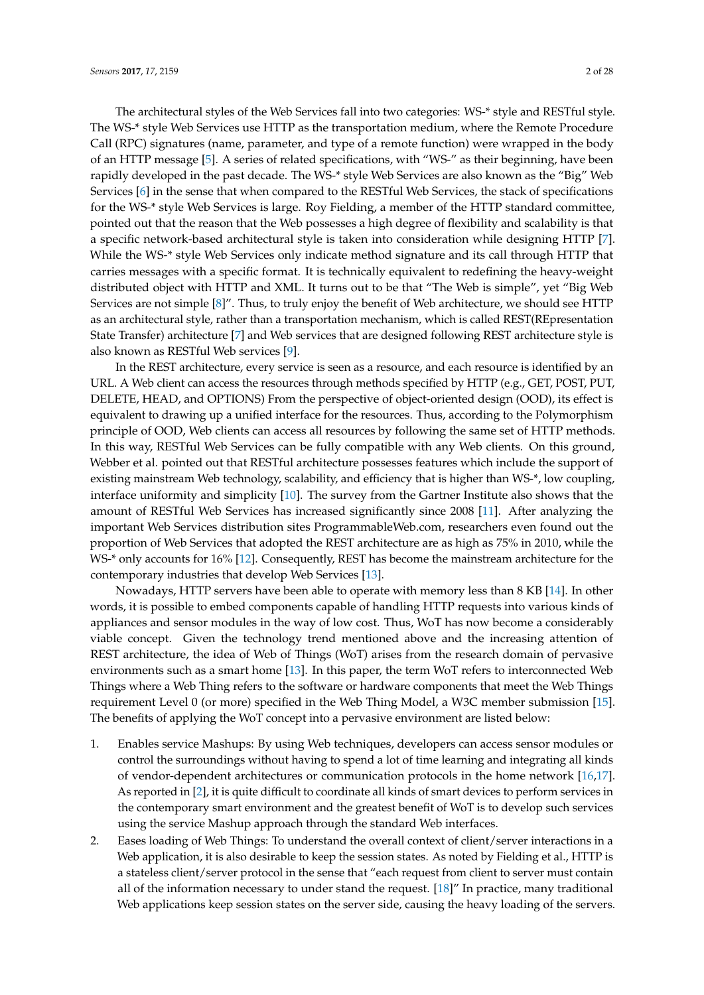The architectural styles of the Web Services fall into two categories: WS-\* style and RESTful style. The WS-\* style Web Services use HTTP as the transportation medium, where the Remote Procedure Call (RPC) signatures (name, parameter, and type of a remote function) were wrapped in the body of an HTTP message [\[5\]](#page-24-4). A series of related specifications, with "WS-" as their beginning, have been rapidly developed in the past decade. The WS-\* style Web Services are also known as the "Big" Web Services [\[6\]](#page-24-5) in the sense that when compared to the RESTful Web Services, the stack of specifications for the WS-\* style Web Services is large. Roy Fielding, a member of the HTTP standard committee, pointed out that the reason that the Web possesses a high degree of flexibility and scalability is that a specific network-based architectural style is taken into consideration while designing HTTP [\[7\]](#page-24-6). While the WS-\* style Web Services only indicate method signature and its call through HTTP that carries messages with a specific format. It is technically equivalent to redefining the heavy-weight distributed object with HTTP and XML. It turns out to be that "The Web is simple", yet "Big Web Services are not simple [\[8\]](#page-24-7)". Thus, to truly enjoy the benefit of Web architecture, we should see HTTP as an architectural style, rather than a transportation mechanism, which is called REST(REpresentation State Transfer) architecture [\[7\]](#page-24-6) and Web services that are designed following REST architecture style is also known as RESTful Web services [\[9\]](#page-24-8).

In the REST architecture, every service is seen as a resource, and each resource is identified by an URL. A Web client can access the resources through methods specified by HTTP (e.g., GET, POST, PUT, DELETE, HEAD, and OPTIONS) From the perspective of object-oriented design (OOD), its effect is equivalent to drawing up a unified interface for the resources. Thus, according to the Polymorphism principle of OOD, Web clients can access all resources by following the same set of HTTP methods. In this way, RESTful Web Services can be fully compatible with any Web clients. On this ground, Webber et al. pointed out that RESTful architecture possesses features which include the support of existing mainstream Web technology, scalability, and efficiency that is higher than WS-\*, low coupling, interface uniformity and simplicity [\[10\]](#page-24-9). The survey from the Gartner Institute also shows that the amount of RESTful Web Services has increased significantly since 2008 [\[11\]](#page-24-10). After analyzing the important Web Services distribution sites ProgrammableWeb.com, researchers even found out the proportion of Web Services that adopted the REST architecture are as high as 75% in 2010, while the WS-\* only accounts for 16% [\[12\]](#page-24-11). Consequently, REST has become the mainstream architecture for the contemporary industries that develop Web Services [\[13\]](#page-24-12).

Nowadays, HTTP servers have been able to operate with memory less than 8 KB [\[14\]](#page-24-13). In other words, it is possible to embed components capable of handling HTTP requests into various kinds of appliances and sensor modules in the way of low cost. Thus, WoT has now become a considerably viable concept. Given the technology trend mentioned above and the increasing attention of REST architecture, the idea of Web of Things (WoT) arises from the research domain of pervasive environments such as a smart home [\[13\]](#page-24-12). In this paper, the term WoT refers to interconnected Web Things where a Web Thing refers to the software or hardware components that meet the Web Things requirement Level 0 (or more) specified in the Web Thing Model, a W3C member submission [\[15\]](#page-24-14). The benefits of applying the WoT concept into a pervasive environment are listed below:

- 1. Enables service Mashups: By using Web techniques, developers can access sensor modules or control the surroundings without having to spend a lot of time learning and integrating all kinds of vendor-dependent architectures or communication protocols in the home network [\[16,](#page-24-15)[17\]](#page-24-16). As reported in [\[2\]](#page-24-1), it is quite difficult to coordinate all kinds of smart devices to perform services in the contemporary smart environment and the greatest benefit of WoT is to develop such services using the service Mashup approach through the standard Web interfaces.
- 2. Eases loading of Web Things: To understand the overall context of client/server interactions in a Web application, it is also desirable to keep the session states. As noted by Fielding et al., HTTP is a stateless client/server protocol in the sense that "each request from client to server must contain all of the information necessary to under stand the request. [\[18\]](#page-24-17)" In practice, many traditional Web applications keep session states on the server side, causing the heavy loading of the servers.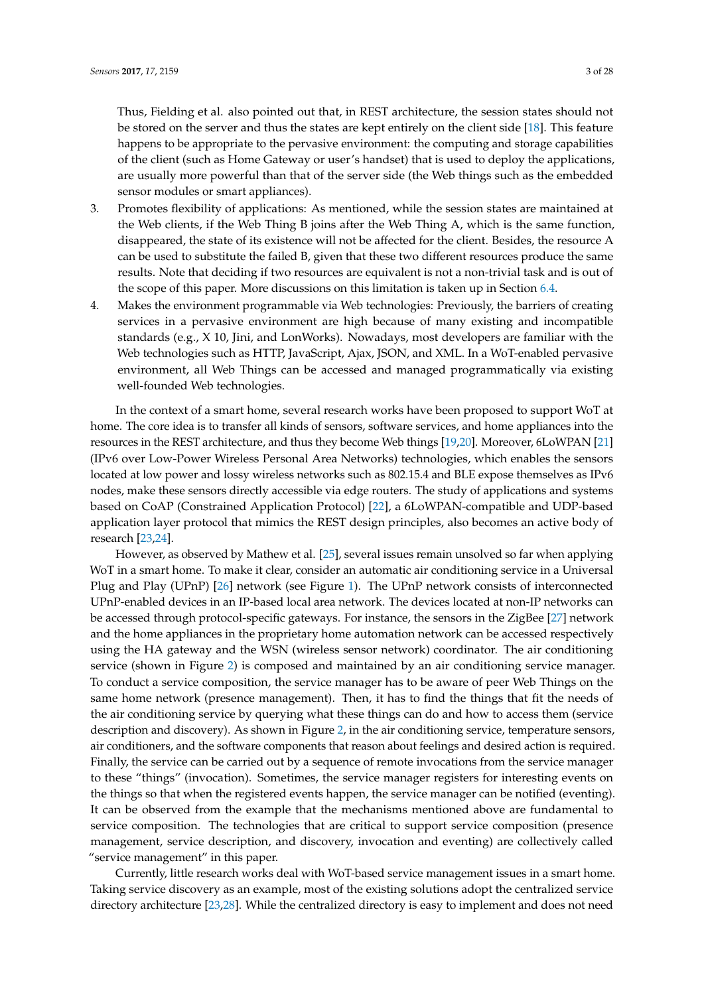Thus, Fielding et al. also pointed out that, in REST architecture, the session states should not be stored on the server and thus the states are kept entirely on the client side [\[18\]](#page-24-17). This feature happens to be appropriate to the pervasive environment: the computing and storage capabilities of the client (such as Home Gateway or user's handset) that is used to deploy the applications, are usually more powerful than that of the server side (the Web things such as the embedded sensor modules or smart appliances).

- 3. Promotes flexibility of applications: As mentioned, while the session states are maintained at the Web clients, if the Web Thing B joins after the Web Thing A, which is the same function, disappeared, the state of its existence will not be affected for the client. Besides, the resource A can be used to substitute the failed B, given that these two different resources produce the same results. Note that deciding if two resources are equivalent is not a non-trivial task and is out of the scope of this paper. More discussions on this limitation is taken up in Section [6.4.](#page-21-0)
- 4. Makes the environment programmable via Web technologies: Previously, the barriers of creating services in a pervasive environment are high because of many existing and incompatible standards (e.g., X 10, Jini, and LonWorks). Nowadays, most developers are familiar with the Web technologies such as HTTP, JavaScript, Ajax, JSON, and XML. In a WoT-enabled pervasive environment, all Web Things can be accessed and managed programmatically via existing well-founded Web technologies.

In the context of a smart home, several research works have been proposed to support WoT at home. The core idea is to transfer all kinds of sensors, software services, and home appliances into the resources in the REST architecture, and thus they become Web things [\[19,](#page-24-18)[20\]](#page-24-19). Moreover, 6LoWPAN [\[21\]](#page-24-20) (IPv6 over Low-Power Wireless Personal Area Networks) technologies, which enables the sensors located at low power and lossy wireless networks such as 802.15.4 and BLE expose themselves as IPv6 nodes, make these sensors directly accessible via edge routers. The study of applications and systems based on CoAP (Constrained Application Protocol) [\[22\]](#page-25-0), a 6LoWPAN-compatible and UDP-based application layer protocol that mimics the REST design principles, also becomes an active body of research [\[23](#page-25-1)[,24\]](#page-25-2).

However, as observed by Mathew et al. [\[25\]](#page-25-3), several issues remain unsolved so far when applying WoT in a smart home. To make it clear, consider an automatic air conditioning service in a Universal Plug and Play (UPnP) [\[26\]](#page-25-4) network (see Figure [1\)](#page-3-0). The UPnP network consists of interconnected UPnP-enabled devices in an IP-based local area network. The devices located at non-IP networks can be accessed through protocol-specific gateways. For instance, the sensors in the ZigBee [\[27\]](#page-25-5) network and the home appliances in the proprietary home automation network can be accessed respectively using the HA gateway and the WSN (wireless sensor network) coordinator. The air conditioning service (shown in Figure [2\)](#page-3-1) is composed and maintained by an air conditioning service manager. To conduct a service composition, the service manager has to be aware of peer Web Things on the same home network (presence management). Then, it has to find the things that fit the needs of the air conditioning service by querying what these things can do and how to access them (service description and discovery). As shown in Figure [2,](#page-3-1) in the air conditioning service, temperature sensors, air conditioners, and the software components that reason about feelings and desired action is required. Finally, the service can be carried out by a sequence of remote invocations from the service manager to these "things" (invocation). Sometimes, the service manager registers for interesting events on the things so that when the registered events happen, the service manager can be notified (eventing). It can be observed from the example that the mechanisms mentioned above are fundamental to service composition. The technologies that are critical to support service composition (presence management, service description, and discovery, invocation and eventing) are collectively called "service management" in this paper.

Currently, little research works deal with WoT-based service management issues in a smart home. Taking service discovery as an example, most of the existing solutions adopt the centralized service directory architecture [\[23](#page-25-1)[,28\]](#page-25-6). While the centralized directory is easy to implement and does not need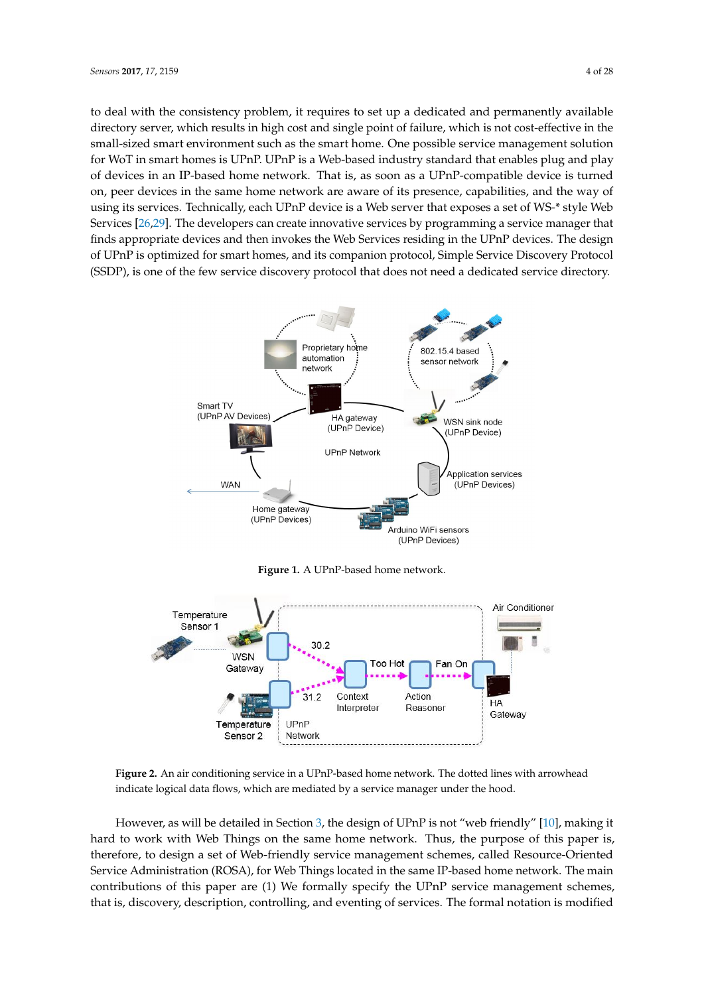to deal with the consistency problem, it requires to set up a dedicated and permanently available directory server, which results in high cost and single point of failure, which is not cost-effective in the small-sized smart environment such as the smart home. One possible service management solution for WoT in smart homes is UPnP. UPnP is a Web-based industry standard that enables plug and play of devices in an IP-based home network. That is, as soon as a UPnP-compatible device is turned on, peer devices in the same home network are aware of its presence, capabilities, and the way of using its services. Technically, each UPnP device is a Web server that exposes a set of WS-\* style Web Services [\[26,](#page-25-4)[29\]](#page-25-7). The developers can create innovative services by programming a service manager that finds appropriate devices and then invokes the Web Services residing in the UPnP devices. The design of UPnP is optimized for smart homes, and its companion protocol, Simple Service Discovery Protocol (SSDP), is one of the few service discovery protocol that does not need a dedicated service directory.

<span id="page-3-0"></span>

**Figure 1.** A UPnP-based home network.

<span id="page-3-1"></span>

**Figure 2.** An air conditioning service in a UPnP-based home network. The dotted lines with arrowhead indicate logical data flows, which are mediated by a service manager under the hood.

However, as will be detailed in Section [3,](#page-6-0) the design of UPnP is not "web friendly" [\[10\]](#page-24-9), making it hard to work with Web Things on the same home network. Thus, the purpose of this paper is, therefore, to design a set of Web-friendly service management schemes, called Resource-Oriented Service Administration (ROSA), for Web Things located in the same IP-based home network. The main contributions of this paper are (1) We formally specify the UPnP service management schemes, that is, discovery, description, controlling, and eventing of services. The formal notation is modified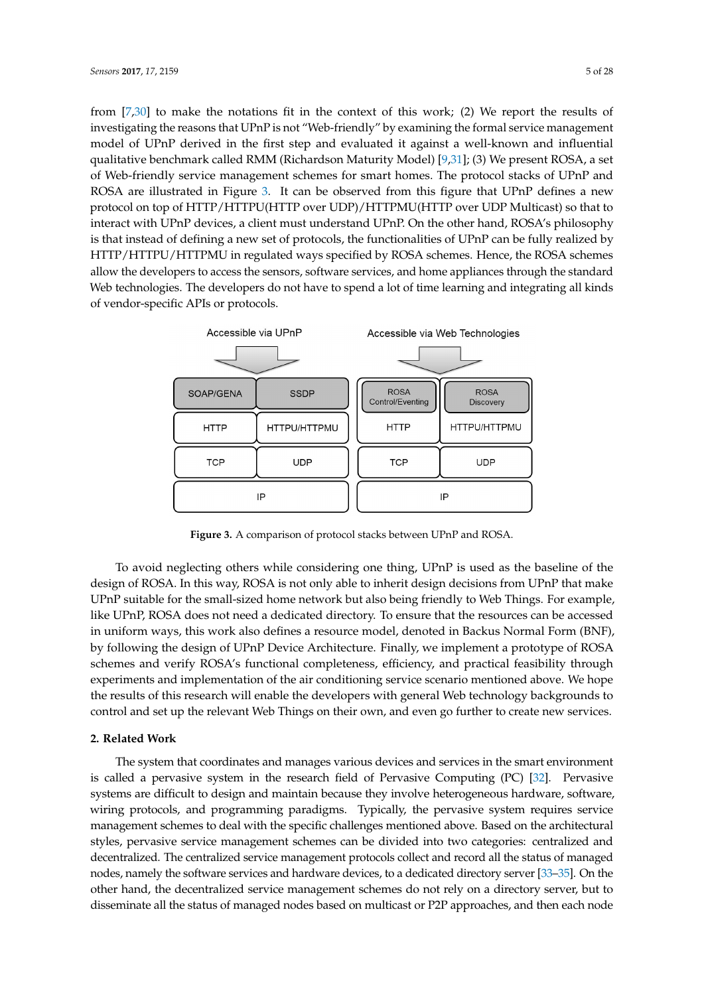from [\[7,](#page-24-6)[30\]](#page-25-8) to make the notations fit in the context of this work; (2) We report the results of investigating the reasons that UPnP is not "Web-friendly" by examining the formal service management model of UPnP derived in the first step and evaluated it against a well-known and influential qualitative benchmark called RMM (Richardson Maturity Model) [\[9](#page-24-8)[,31\]](#page-25-9); (3) We present ROSA, a set of Web-friendly service management schemes for smart homes. The protocol stacks of UPnP and ROSA are illustrated in Figure [3.](#page-4-0) It can be observed from this figure that UPnP defines a new protocol on top of HTTP/HTTPU(HTTP over UDP)/HTTPMU(HTTP over UDP Multicast) so that to interact with UPnP devices, a client must understand UPnP. On the other hand, ROSA's philosophy is that instead of defining a new set of protocols, the functionalities of UPnP can be fully realized by HTTP/HTTPU/HTTPMU in regulated ways specified by ROSA schemes. Hence, the ROSA schemes allow the developers to access the sensors, software services, and home appliances through the standard Web technologies. The developers do not have to spend a lot of time learning and integrating all kinds of vendor-specific APIs or protocols.

<span id="page-4-0"></span>

**Figure 3.** A comparison of protocol stacks between UPnP and ROSA.

To avoid neglecting others while considering one thing, UPnP is used as the baseline of the design of ROSA. In this way, ROSA is not only able to inherit design decisions from UPnP that make UPnP suitable for the small-sized home network but also being friendly to Web Things. For example, like UPnP, ROSA does not need a dedicated directory. To ensure that the resources can be accessed in uniform ways, this work also defines a resource model, denoted in Backus Normal Form (BNF), by following the design of UPnP Device Architecture. Finally, we implement a prototype of ROSA schemes and verify ROSA's functional completeness, efficiency, and practical feasibility through experiments and implementation of the air conditioning service scenario mentioned above. We hope the results of this research will enable the developers with general Web technology backgrounds to control and set up the relevant Web Things on their own, and even go further to create new services.

#### **2. Related Work**

The system that coordinates and manages various devices and services in the smart environment is called a pervasive system in the research field of Pervasive Computing (PC) [\[32\]](#page-25-10). Pervasive systems are difficult to design and maintain because they involve heterogeneous hardware, software, wiring protocols, and programming paradigms. Typically, the pervasive system requires service management schemes to deal with the specific challenges mentioned above. Based on the architectural styles, pervasive service management schemes can be divided into two categories: centralized and decentralized. The centralized service management protocols collect and record all the status of managed nodes, namely the software services and hardware devices, to a dedicated directory server [\[33](#page-25-11)[–35\]](#page-25-12). On the other hand, the decentralized service management schemes do not rely on a directory server, but to disseminate all the status of managed nodes based on multicast or P2P approaches, and then each node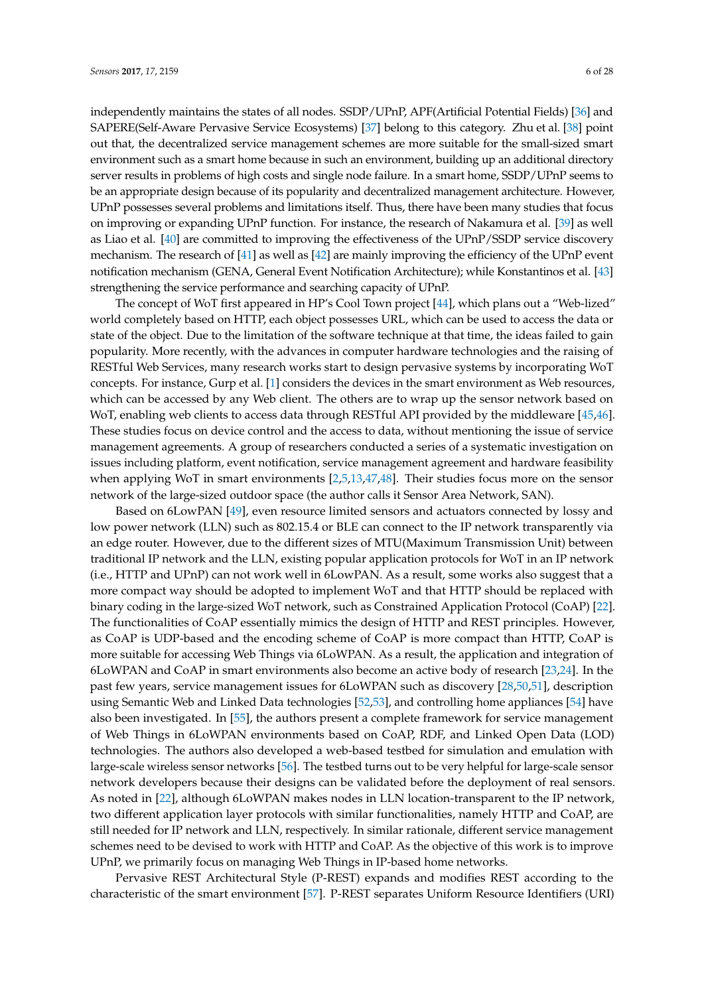independently maintains the states of all nodes. SSDP/UPnP, APF(Artificial Potential Fields) [\[36\]](#page-25-13) and SAPERE(Self-Aware Pervasive Service Ecosystems) [\[37\]](#page-25-14) belong to this category. Zhu et al. [\[38\]](#page-25-15) point out that, the decentralized service management schemes are more suitable for the small-sized smart environment such as a smart home because in such an environment, building up an additional directory server results in problems of high costs and single node failure. In a smart home, SSDP/UPnP seems to be an appropriate design because of its popularity and decentralized management architecture. However, UPnP possesses several problems and limitations itself. Thus, there have been many studies that focus on improving or expanding UPnP function. For instance, the research of Nakamura et al. [\[39\]](#page-25-16) as well as Liao et al. [\[40\]](#page-25-17) are committed to improving the effectiveness of the UPnP/SSDP service discovery mechanism. The research of [\[41\]](#page-25-18) as well as [\[42\]](#page-25-19) are mainly improving the efficiency of the UPnP event notification mechanism (GENA, General Event Notification Architecture); while Konstantinos et al. [\[43\]](#page-26-0) strengthening the service performance and searching capacity of UPnP.

The concept of WoT first appeared in HP's Cool Town project [\[44\]](#page-26-1), which plans out a "Web-lized" world completely based on HTTP, each object possesses URL, which can be used to access the data or state of the object. Due to the limitation of the software technique at that time, the ideas failed to gain popularity. More recently, with the advances in computer hardware technologies and the raising of RESTful Web Services, many research works start to design pervasive systems by incorporating WoT concepts. For instance, Gurp et al. [\[1\]](#page-24-0) considers the devices in the smart environment as Web resources, which can be accessed by any Web client. The others are to wrap up the sensor network based on WoT, enabling web clients to access data through RESTful API provided by the middleware [\[45,](#page-26-2)[46\]](#page-26-3). These studies focus on device control and the access to data, without mentioning the issue of service management agreements. A group of researchers conducted a series of a systematic investigation on issues including platform, event notification, service management agreement and hardware feasibility when applying WoT in smart environments [\[2,](#page-24-1)[5,](#page-24-4)[13,](#page-24-12)[47,](#page-26-4)[48\]](#page-26-5). Their studies focus more on the sensor network of the large-sized outdoor space (the author calls it Sensor Area Network, SAN).

Based on 6LowPAN [\[49\]](#page-26-6), even resource limited sensors and actuators connected by lossy and low power network (LLN) such as 802.15.4 or BLE can connect to the IP network transparently via an edge router. However, due to the different sizes of MTU(Maximum Transmission Unit) between traditional IP network and the LLN, existing popular application protocols for WoT in an IP network (i.e., HTTP and UPnP) can not work well in 6LowPAN. As a result, some works also suggest that a more compact way should be adopted to implement WoT and that HTTP should be replaced with binary coding in the large-sized WoT network, such as Constrained Application Protocol (CoAP) [\[22\]](#page-25-0). The functionalities of CoAP essentially mimics the design of HTTP and REST principles. However, as CoAP is UDP-based and the encoding scheme of CoAP is more compact than HTTP, CoAP is more suitable for accessing Web Things via 6LoWPAN. As a result, the application and integration of 6LoWPAN and CoAP in smart environments also become an active body of research [\[23,](#page-25-1)[24\]](#page-25-2). In the past few years, service management issues for 6LoWPAN such as discovery [\[28](#page-25-6)[,50](#page-26-7)[,51\]](#page-26-8), description using Semantic Web and Linked Data technologies [\[52](#page-26-9)[,53\]](#page-26-10), and controlling home appliances [\[54\]](#page-26-11) have also been investigated. In [\[55\]](#page-26-12), the authors present a complete framework for service management of Web Things in 6LoWPAN environments based on CoAP, RDF, and Linked Open Data (LOD) technologies. The authors also developed a web-based testbed for simulation and emulation with large-scale wireless sensor networks [\[56\]](#page-26-13). The testbed turns out to be very helpful for large-scale sensor network developers because their designs can be validated before the deployment of real sensors. As noted in [\[22\]](#page-25-0), although 6LoWPAN makes nodes in LLN location-transparent to the IP network, two different application layer protocols with similar functionalities, namely HTTP and CoAP, are still needed for IP network and LLN, respectively. In similar rationale, different service management schemes need to be devised to work with HTTP and CoAP. As the objective of this work is to improve UPnP, we primarily focus on managing Web Things in IP-based home networks.

Pervasive REST Architectural Style (P-REST) expands and modifies REST according to the characteristic of the smart environment [\[57\]](#page-26-14). P-REST separates Uniform Resource Identifiers (URI)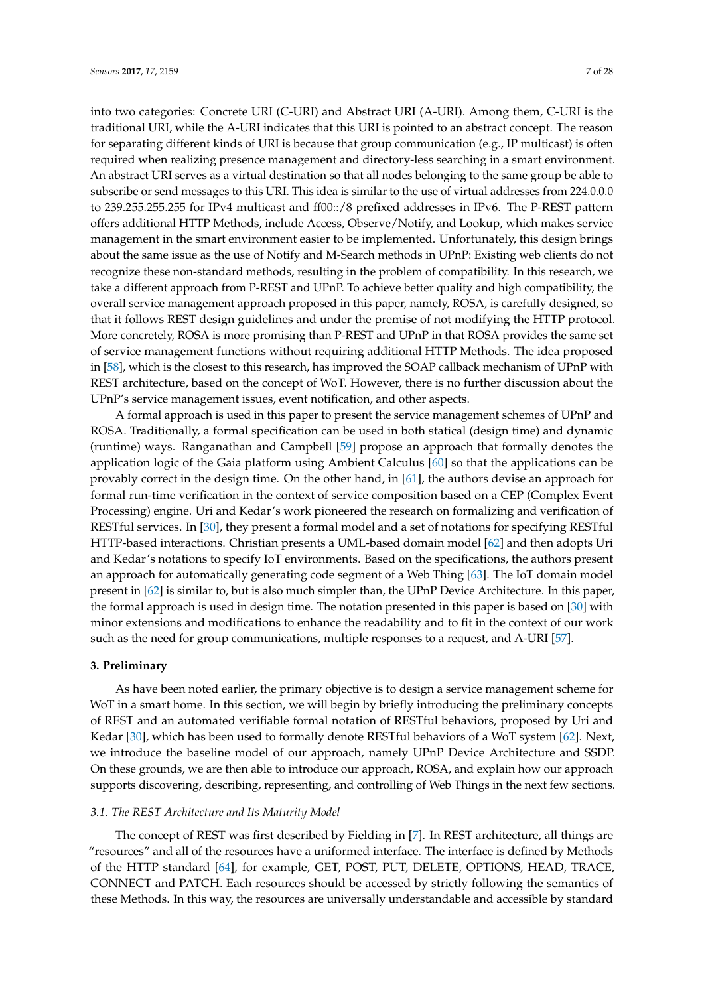into two categories: Concrete URI (C-URI) and Abstract URI (A-URI). Among them, C-URI is the traditional URI, while the A-URI indicates that this URI is pointed to an abstract concept. The reason for separating different kinds of URI is because that group communication (e.g., IP multicast) is often required when realizing presence management and directory-less searching in a smart environment. An abstract URI serves as a virtual destination so that all nodes belonging to the same group be able to subscribe or send messages to this URI. This idea is similar to the use of virtual addresses from 224.0.0.0 to 239.255.255.255 for IPv4 multicast and ff00::/8 prefixed addresses in IPv6. The P-REST pattern offers additional HTTP Methods, include Access, Observe/Notify, and Lookup, which makes service management in the smart environment easier to be implemented. Unfortunately, this design brings about the same issue as the use of Notify and M-Search methods in UPnP: Existing web clients do not recognize these non-standard methods, resulting in the problem of compatibility. In this research, we take a different approach from P-REST and UPnP. To achieve better quality and high compatibility, the overall service management approach proposed in this paper, namely, ROSA, is carefully designed, so that it follows REST design guidelines and under the premise of not modifying the HTTP protocol. More concretely, ROSA is more promising than P-REST and UPnP in that ROSA provides the same set of service management functions without requiring additional HTTP Methods. The idea proposed in [\[58\]](#page-26-15), which is the closest to this research, has improved the SOAP callback mechanism of UPnP with REST architecture, based on the concept of WoT. However, there is no further discussion about the UPnP's service management issues, event notification, and other aspects.

A formal approach is used in this paper to present the service management schemes of UPnP and ROSA. Traditionally, a formal specification can be used in both statical (design time) and dynamic (runtime) ways. Ranganathan and Campbell [\[59\]](#page-26-16) propose an approach that formally denotes the application logic of the Gaia platform using Ambient Calculus [\[60\]](#page-26-17) so that the applications can be provably correct in the design time. On the other hand, in [\[61\]](#page-26-18), the authors devise an approach for formal run-time verification in the context of service composition based on a CEP (Complex Event Processing) engine. Uri and Kedar's work pioneered the research on formalizing and verification of RESTful services. In [\[30\]](#page-25-8), they present a formal model and a set of notations for specifying RESTful HTTP-based interactions. Christian presents a UML-based domain model [\[62\]](#page-26-19) and then adopts Uri and Kedar's notations to specify IoT environments. Based on the specifications, the authors present an approach for automatically generating code segment of a Web Thing [\[63\]](#page-26-20). The IoT domain model present in [\[62\]](#page-26-19) is similar to, but is also much simpler than, the UPnP Device Architecture. In this paper, the formal approach is used in design time. The notation presented in this paper is based on [\[30\]](#page-25-8) with minor extensions and modifications to enhance the readability and to fit in the context of our work such as the need for group communications, multiple responses to a request, and A-URI [\[57\]](#page-26-14).

## <span id="page-6-0"></span>**3. Preliminary**

As have been noted earlier, the primary objective is to design a service management scheme for WoT in a smart home. In this section, we will begin by briefly introducing the preliminary concepts of REST and an automated verifiable formal notation of RESTful behaviors, proposed by Uri and Kedar [\[30\]](#page-25-8), which has been used to formally denote RESTful behaviors of a WoT system [\[62\]](#page-26-19). Next, we introduce the baseline model of our approach, namely UPnP Device Architecture and SSDP. On these grounds, we are then able to introduce our approach, ROSA, and explain how our approach supports discovering, describing, representing, and controlling of Web Things in the next few sections.

## *3.1. The REST Architecture and Its Maturity Model*

The concept of REST was first described by Fielding in [\[7\]](#page-24-6). In REST architecture, all things are "resources" and all of the resources have a uniformed interface. The interface is defined by Methods of the HTTP standard [\[64\]](#page-26-21), for example, GET, POST, PUT, DELETE, OPTIONS, HEAD, TRACE, CONNECT and PATCH. Each resources should be accessed by strictly following the semantics of these Methods. In this way, the resources are universally understandable and accessible by standard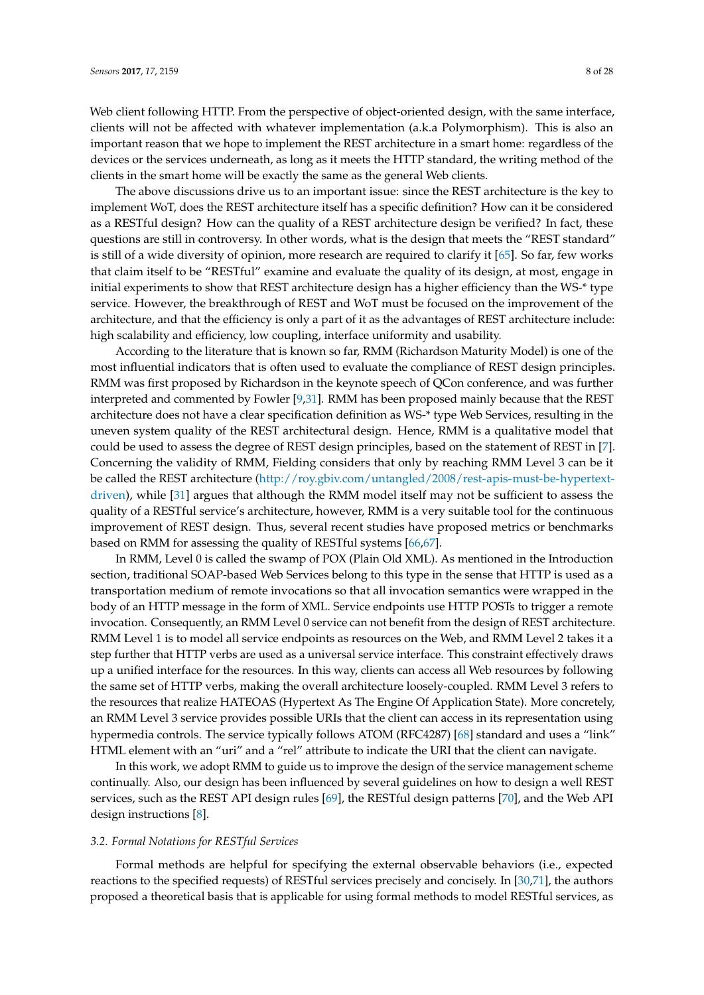Web client following HTTP. From the perspective of object-oriented design, with the same interface, clients will not be affected with whatever implementation (a.k.a Polymorphism). This is also an important reason that we hope to implement the REST architecture in a smart home: regardless of the devices or the services underneath, as long as it meets the HTTP standard, the writing method of the clients in the smart home will be exactly the same as the general Web clients.

The above discussions drive us to an important issue: since the REST architecture is the key to implement WoT, does the REST architecture itself has a specific definition? How can it be considered as a RESTful design? How can the quality of a REST architecture design be verified? In fact, these questions are still in controversy. In other words, what is the design that meets the "REST standard" is still of a wide diversity of opinion, more research are required to clarify it [\[65\]](#page-27-0). So far, few works that claim itself to be "RESTful" examine and evaluate the quality of its design, at most, engage in initial experiments to show that REST architecture design has a higher efficiency than the WS-\* type service. However, the breakthrough of REST and WoT must be focused on the improvement of the architecture, and that the efficiency is only a part of it as the advantages of REST architecture include: high scalability and efficiency, low coupling, interface uniformity and usability.

According to the literature that is known so far, RMM (Richardson Maturity Model) is one of the most influential indicators that is often used to evaluate the compliance of REST design principles. RMM was first proposed by Richardson in the keynote speech of QCon conference, and was further interpreted and commented by Fowler [\[9,](#page-24-8)[31\]](#page-25-9). RMM has been proposed mainly because that the REST architecture does not have a clear specification definition as WS-\* type Web Services, resulting in the uneven system quality of the REST architectural design. Hence, RMM is a qualitative model that could be used to assess the degree of REST design principles, based on the statement of REST in [\[7\]](#page-24-6). Concerning the validity of RMM, Fielding considers that only by reaching RMM Level 3 can be it be called the REST architecture [\(http://roy.gbiv.com/untangled/2008/rest-apis-must-be-hypertext](http://roy.gbiv.com/untangled/2008/rest-apis-must-be-hypertext-driven)[driven\)](http://roy.gbiv.com/untangled/2008/rest-apis-must-be-hypertext-driven), while [\[31\]](#page-25-9) argues that although the RMM model itself may not be sufficient to assess the quality of a RESTful service's architecture, however, RMM is a very suitable tool for the continuous improvement of REST design. Thus, several recent studies have proposed metrics or benchmarks based on RMM for assessing the quality of RESTful systems [\[66,](#page-27-1)[67\]](#page-27-2).

In RMM, Level 0 is called the swamp of POX (Plain Old XML). As mentioned in the Introduction section, traditional SOAP-based Web Services belong to this type in the sense that HTTP is used as a transportation medium of remote invocations so that all invocation semantics were wrapped in the body of an HTTP message in the form of XML. Service endpoints use HTTP POSTs to trigger a remote invocation. Consequently, an RMM Level 0 service can not benefit from the design of REST architecture. RMM Level 1 is to model all service endpoints as resources on the Web, and RMM Level 2 takes it a step further that HTTP verbs are used as a universal service interface. This constraint effectively draws up a unified interface for the resources. In this way, clients can access all Web resources by following the same set of HTTP verbs, making the overall architecture loosely-coupled. RMM Level 3 refers to the resources that realize HATEOAS (Hypertext As The Engine Of Application State). More concretely, an RMM Level 3 service provides possible URIs that the client can access in its representation using hypermedia controls. The service typically follows ATOM (RFC4287) [\[68\]](#page-27-3) standard and uses a "link" HTML element with an "uri" and a "rel" attribute to indicate the URI that the client can navigate.

In this work, we adopt RMM to guide us to improve the design of the service management scheme continually. Also, our design has been influenced by several guidelines on how to design a well REST services, such as the REST API design rules [\[69\]](#page-27-4), the RESTful design patterns [\[70\]](#page-27-5), and the Web API design instructions [\[8\]](#page-24-7).

#### *3.2. Formal Notations for RESTful Services*

Formal methods are helpful for specifying the external observable behaviors (i.e., expected reactions to the specified requests) of RESTful services precisely and concisely. In [\[30,](#page-25-8)[71\]](#page-27-6), the authors proposed a theoretical basis that is applicable for using formal methods to model RESTful services, as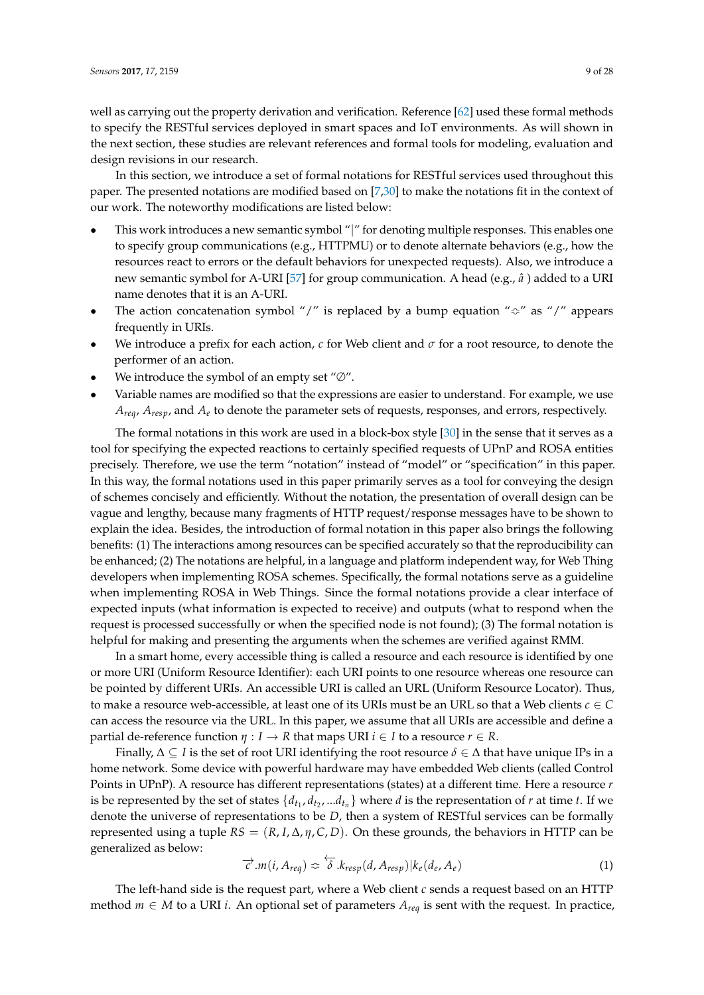well as carrying out the property derivation and verification. Reference [\[62\]](#page-26-19) used these formal methods to specify the RESTful services deployed in smart spaces and IoT environments. As will shown in the next section, these studies are relevant references and formal tools for modeling, evaluation and design revisions in our research.

In this section, we introduce a set of formal notations for RESTful services used throughout this paper. The presented notations are modified based on [\[7](#page-24-6)[,30\]](#page-25-8) to make the notations fit in the context of our work. The noteworthy modifications are listed below:

- This work introduces a new semantic symbol "|" for denoting multiple responses. This enables one to specify group communications (e.g., HTTPMU) or to denote alternate behaviors (e.g., how the resources react to errors or the default behaviors for unexpected requests). Also, we introduce a new semantic symbol for A-URI [\[57\]](#page-26-14) for group communication. A head (e.g., *a*ˆ ) added to a URI name denotes that it is an A-URI.
- The action concatenation symbol "/" is replaced by a bump equation " $\Leftrightarrow$ " as "/" appears frequently in URIs.
- We introduce a prefix for each action,  $c$  for Web client and  $\sigma$  for a root resource, to denote the performer of an action.
- We introduce the symbol of an empty set " $\varnothing$ ".
- Variable names are modified so that the expressions are easier to understand. For example, we use *Areq*, *Aresp*, and *A<sup>e</sup>* to denote the parameter sets of requests, responses, and errors, respectively.

The formal notations in this work are used in a block-box style [\[30\]](#page-25-8) in the sense that it serves as a tool for specifying the expected reactions to certainly specified requests of UPnP and ROSA entities precisely. Therefore, we use the term "notation" instead of "model" or "specification" in this paper. In this way, the formal notations used in this paper primarily serves as a tool for conveying the design of schemes concisely and efficiently. Without the notation, the presentation of overall design can be vague and lengthy, because many fragments of HTTP request/response messages have to be shown to explain the idea. Besides, the introduction of formal notation in this paper also brings the following benefits: (1) The interactions among resources can be specified accurately so that the reproducibility can be enhanced; (2) The notations are helpful, in a language and platform independent way, for Web Thing developers when implementing ROSA schemes. Specifically, the formal notations serve as a guideline when implementing ROSA in Web Things. Since the formal notations provide a clear interface of expected inputs (what information is expected to receive) and outputs (what to respond when the request is processed successfully or when the specified node is not found); (3) The formal notation is helpful for making and presenting the arguments when the schemes are verified against RMM.

In a smart home, every accessible thing is called a resource and each resource is identified by one or more URI (Uniform Resource Identifier): each URI points to one resource whereas one resource can be pointed by different URIs. An accessible URI is called an URL (Uniform Resource Locator). Thus, to make a resource web-accessible, at least one of its URIs must be an URL so that a Web clients *c* ∈ *C* can access the resource via the URL. In this paper, we assume that all URIs are accessible and define a partial de-reference function  $\eta : I \to R$  that maps URI  $i \in I$  to a resource  $r \in R$ .

Finally,  $\Delta \subseteq I$  is the set of root URI identifying the root resource  $\delta \in \Delta$  that have unique IPs in a home network. Some device with powerful hardware may have embedded Web clients (called Control Points in UPnP). A resource has different representations (states) at a different time. Here a resource *r* is be represented by the set of states  $\{d_{t_1}, d_{t_2}, ... d_{t_n}\}$  where *d* is the representation of *r* at time *t*. If we denote the universe of representations to be *D*, then a system of RESTful services can be formally represented using a tuple  $RS = (R, I, \Delta, \eta, C, D)$ . On these grounds, the behaviors in HTTP can be generalized as below:

<span id="page-8-0"></span>
$$
\overrightarrow{c}.m(i, A_{req}) \Leftrightarrow \overleftarrow{\delta}.k_{resp}(d, A_{resp})|k_e(d_e, A_e)
$$
\n(1)

The left-hand side is the request part, where a Web client *c* sends a request based on an HTTP method  $m$  ∈ *M* to a URI *i*. An optional set of parameters  $A_{req}$  is sent with the request. In practice,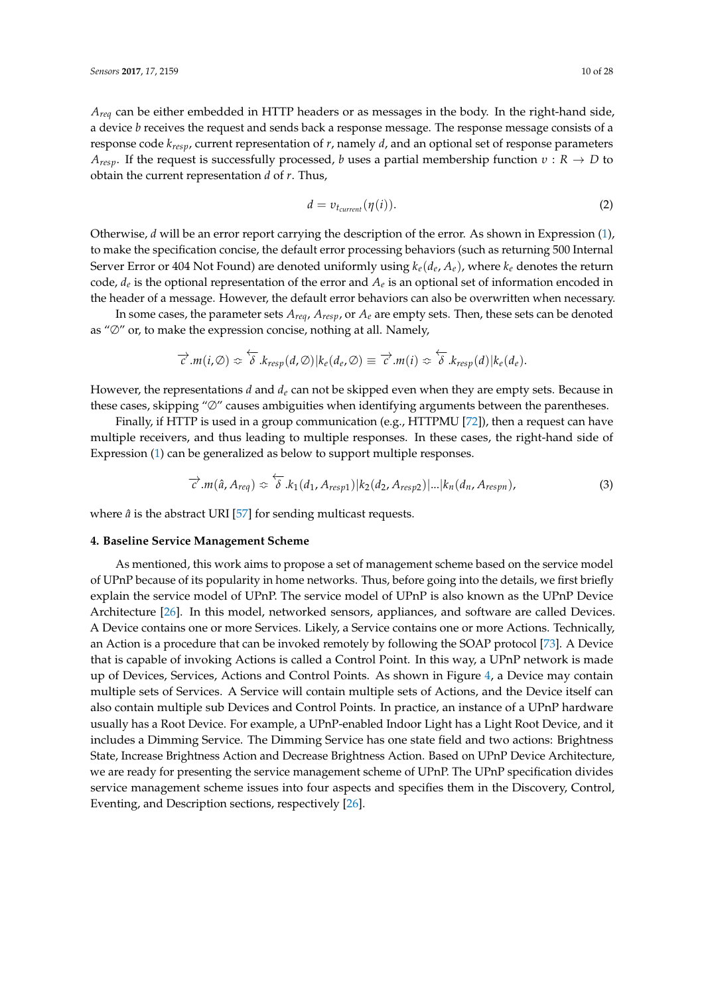*Areq* can be either embedded in HTTP headers or as messages in the body. In the right-hand side, a device *b* receives the request and sends back a response message. The response message consists of a response code *kresp*, current representation of *r*, namely *d*, and an optional set of response parameters *Aresp*. If the request is successfully processed, *b* uses a partial membership function *υ* : *R* → *D* to obtain the current representation *d* of *r*. Thus,

<span id="page-9-1"></span>
$$
d = v_{t_{current}}(\eta(i)).\tag{2}
$$

Otherwise, *d* will be an error report carrying the description of the error. As shown in Expression [\(1\)](#page-8-0), to make the specification concise, the default error processing behaviors (such as returning 500 Internal Server Error or 404 Not Found) are denoted uniformly using  $k_e(d_e, A_e)$ , where  $k_e$  denotes the return code*, d<sub>e</sub>* is the optional representation of the error and  $A_e$  is an optional set of information encoded in the header of a message. However, the default error behaviors can also be overwritten when necessary.

In some cases, the parameter sets *Areq*, *Aresp*, or *A<sup>e</sup>* are empty sets. Then, these sets can be denoted as "∅" or, to make the expression concise, nothing at all. Namely,

$$
\overrightarrow{c}.m(i,\emptyset) \Leftrightarrow \overleftarrow{\delta}.k_{resp}(d,\emptyset)|k_{e}(d_{e},\emptyset) \equiv \overrightarrow{c}.m(i) \Leftrightarrow \overleftarrow{\delta}.k_{resp}(d)|k_{e}(d_{e}).
$$

However, the representations *d* and *d<sup>e</sup>* can not be skipped even when they are empty sets. Because in these cases, skipping "∅" causes ambiguities when identifying arguments between the parentheses.

Finally, if HTTP is used in a group communication (e.g., HTTPMU [\[72\]](#page-27-7)), then a request can have multiple receivers, and thus leading to multiple responses. In these cases, the right-hand side of Expression [\(1\)](#page-8-0) can be generalized as below to support multiple responses.

$$
\overrightarrow{c}.m(\hat{a}, A_{req}) \Leftrightarrow \overleftarrow{\delta}.k_1(d_1, A_{resp1})|k_2(d_2, A_{resp2})|...|k_n(d_n, A_{respn}),
$$
\n(3)

where  $\hat{a}$  is the abstract URI [\[57\]](#page-26-14) for sending multicast requests.

## <span id="page-9-0"></span>**4. Baseline Service Management Scheme**

As mentioned, this work aims to propose a set of management scheme based on the service model of UPnP because of its popularity in home networks. Thus, before going into the details, we first briefly explain the service model of UPnP. The service model of UPnP is also known as the UPnP Device Architecture [\[26\]](#page-25-4). In this model, networked sensors, appliances, and software are called Devices. A Device contains one or more Services. Likely, a Service contains one or more Actions. Technically, an Action is a procedure that can be invoked remotely by following the SOAP protocol [\[73\]](#page-27-8). A Device that is capable of invoking Actions is called a Control Point. In this way, a UPnP network is made up of Devices, Services, Actions and Control Points. As shown in Figure [4,](#page-10-0) a Device may contain multiple sets of Services. A Service will contain multiple sets of Actions, and the Device itself can also contain multiple sub Devices and Control Points. In practice, an instance of a UPnP hardware usually has a Root Device. For example, a UPnP-enabled Indoor Light has a Light Root Device, and it includes a Dimming Service. The Dimming Service has one state field and two actions: Brightness State, Increase Brightness Action and Decrease Brightness Action. Based on UPnP Device Architecture, we are ready for presenting the service management scheme of UPnP. The UPnP specification divides service management scheme issues into four aspects and specifies them in the Discovery, Control, Eventing, and Description sections, respectively [\[26\]](#page-25-4).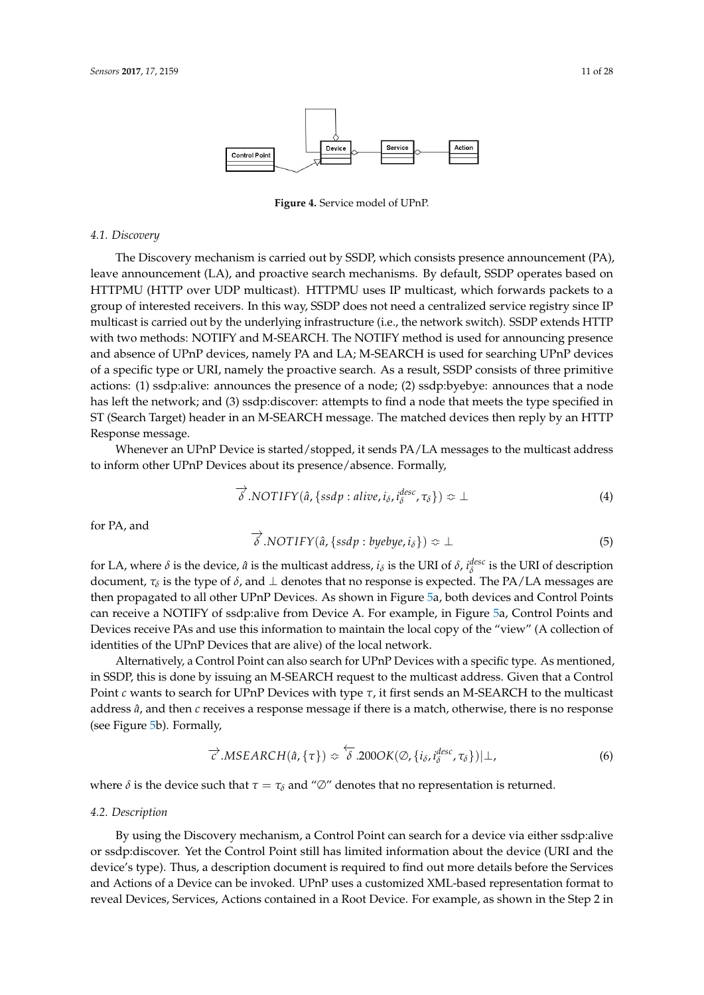<span id="page-10-0"></span>

**Figure 4.** Service model of UPnP.

#### *4.1. Discovery*

The Discovery mechanism is carried out by SSDP, which consists presence announcement (PA), leave announcement (LA), and proactive search mechanisms. By default, SSDP operates based on HTTPMU (HTTP over UDP multicast). HTTPMU uses IP multicast, which forwards packets to a group of interested receivers. In this way, SSDP does not need a centralized service registry since IP multicast is carried out by the underlying infrastructure (i.e., the network switch). SSDP extends HTTP with two methods: NOTIFY and M-SEARCH. The NOTIFY method is used for announcing presence and absence of UPnP devices, namely PA and LA; M-SEARCH is used for searching UPnP devices of a specific type or URI, namely the proactive search. As a result, SSDP consists of three primitive actions: (1) ssdp:alive: announces the presence of a node; (2) ssdp:byebye: announces that a node has left the network; and (3) ssdp:discover: attempts to find a node that meets the type specified in ST (Search Target) header in an M-SEARCH message. The matched devices then reply by an HTTP Response message.

Whenever an UPnP Device is started/stopped, it sends PA/LA messages to the multicast address to inform other UPnP Devices about its presence/absence. Formally,

<span id="page-10-1"></span>
$$
\overrightarrow{\delta} . NOTIFY(\hat{a}, \{ssdp : alive, i_{\delta}, i_{\delta}^{desc}, \tau_{\delta}\}) \Leftrightarrow \bot
$$
 (4)

for PA, and

<span id="page-10-3"></span>
$$
\overrightarrow{\delta} . NOTIFY(\hat{a}, \{ssdp : byebye, i_{\delta}\}) \approx \bot
$$
 (5)

for LA, where  $\delta$  is the device,  $\hat{a}$  is the multicast address,  $i_{\delta}$  is the URI of  $\delta$ ,  $i_{\delta}^{desc}$  is the URI of description document,  $\tau_\delta$  is the type of  $\delta$ , and  $\bot$  denotes that no response is expected. The PA/LA messages are then propagated to all other UPnP Devices. As shown in Figure [5a](#page-11-0), both devices and Control Points can receive a NOTIFY of ssdp:alive from Device A. For example, in Figure [5a](#page-11-0), Control Points and Devices receive PAs and use this information to maintain the local copy of the "view" (A collection of identities of the UPnP Devices that are alive) of the local network.

Alternatively, a Control Point can also search for UPnP Devices with a specific type. As mentioned, in SSDP, this is done by issuing an M-SEARCH request to the multicast address. Given that a Control Point *c* wants to search for UPnP Devices with type *τ*, it first sends an M-SEARCH to the multicast address *a*ˆ, and then *c* receives a response message if there is a match, otherwise, there is no response (see Figure [5b](#page-11-0)). Formally,

<span id="page-10-2"></span>
$$
\overrightarrow{c}.MSEARCH(\hat{a}, \{\tau\}) \approx \overleftarrow{\delta}.200OK(\emptyset, \{i_{\delta}, i_{\delta}^{desc}, \tau_{\delta}\})|\perp,
$$
\n(6)

where  $\delta$  is the device such that  $\tau = \tau_{\delta}$  and " $\varnothing$ " denotes that no representation is returned.

## *4.2. Description*

By using the Discovery mechanism, a Control Point can search for a device via either ssdp:alive or ssdp:discover. Yet the Control Point still has limited information about the device (URI and the device's type). Thus, a description document is required to find out more details before the Services and Actions of a Device can be invoked. UPnP uses a customized XML-based representation format to reveal Devices, Services, Actions contained in a Root Device. For example, as shown in the Step 2 in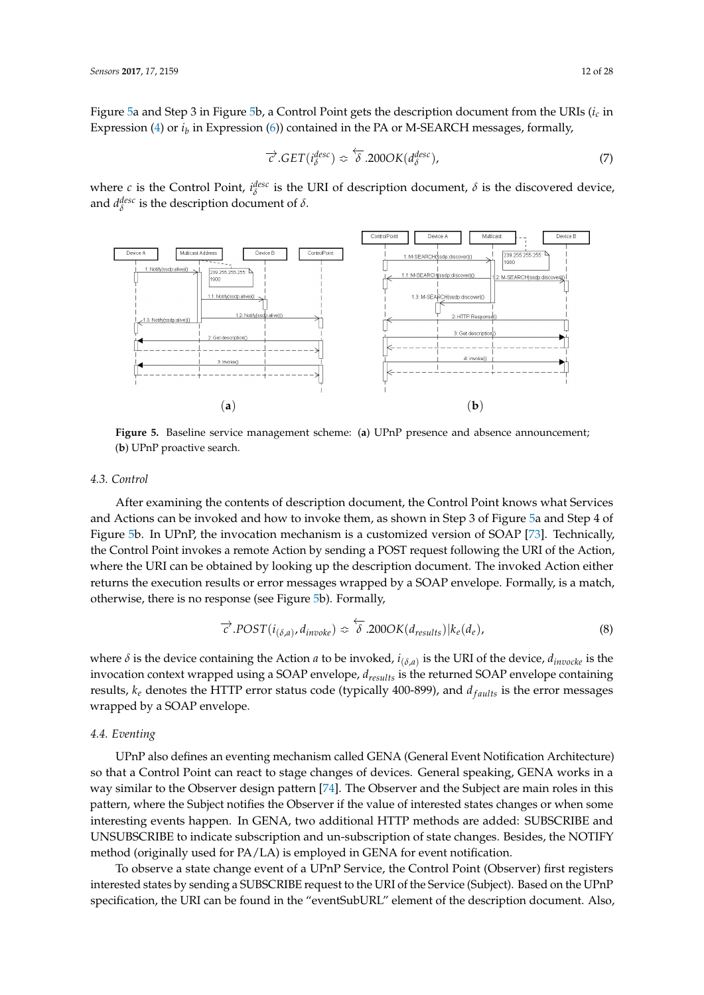Figure [5a](#page-11-0) and Step 3 in Figure [5b](#page-11-0), a Control Point gets the description document from the URIs (*i<sup>c</sup>* in Expression [\(4\)](#page-10-1) or  $i_b$  in Expression [\(6\)](#page-10-2)) contained in the PA or M-SEARCH messages, formally,

<span id="page-11-1"></span>
$$
\overrightarrow{c}.GET(i_{\delta}^{desc}) \approx \overleftarrow{\delta}.200OK(d_{\delta}^{desc}), \qquad (7)
$$

where *c* is the Control Point,  $i_{\delta}^{\text{desc}}$  is the URI of description document,  $\delta$  is the discovered device, and  $d_{\delta}^{\text{desc}}$  is the description document of  $\delta$ .

<span id="page-11-0"></span>

**Figure 5.** Baseline service management scheme: (**a**) UPnP presence and absence announcement; (**b**) UPnP proactive search.

#### *4.3. Control*

After examining the contents of description document, the Control Point knows what Services and Actions can be invoked and how to invoke them, as shown in Step 3 of Figure [5a](#page-11-0) and Step 4 of Figure [5b](#page-11-0). In UPnP, the invocation mechanism is a customized version of SOAP [\[73\]](#page-27-8). Technically, the Control Point invokes a remote Action by sending a POST request following the URI of the Action, where the URI can be obtained by looking up the description document. The invoked Action either returns the execution results or error messages wrapped by a SOAP envelope. Formally, is a match, otherwise, there is no response (see Figure [5b](#page-11-0)). Formally,

<span id="page-11-2"></span>
$$
\overrightarrow{c}.POST(i_{(\delta,a)}, d_{inooke}) \Leftrightarrow \overleftarrow{\delta}.200OK(d_{results})|k_e(d_e), \tag{8}
$$

where *δ* is the device containing the Action *a* to be invoked, *i* (*δ*,*a*) is the URI of the device, *dinvocke* is the invocation context wrapped using a SOAP envelope, *dresults* is the returned SOAP envelope containing results,  $k_e$  denotes the HTTP error status code (typically 400-899), and  $d_{faults}$  is the error messages wrapped by a SOAP envelope.

# *4.4. Eventing*

UPnP also defines an eventing mechanism called GENA (General Event Notification Architecture) so that a Control Point can react to stage changes of devices. General speaking, GENA works in a way similar to the Observer design pattern [\[74\]](#page-27-9). The Observer and the Subject are main roles in this pattern, where the Subject notifies the Observer if the value of interested states changes or when some interesting events happen. In GENA, two additional HTTP methods are added: SUBSCRIBE and UNSUBSCRIBE to indicate subscription and un-subscription of state changes. Besides, the NOTIFY method (originally used for PA/LA) is employed in GENA for event notification.

To observe a state change event of a UPnP Service, the Control Point (Observer) first registers interested states by sending a SUBSCRIBE request to the URI of the Service (Subject). Based on the UPnP specification, the URI can be found in the "eventSubURL" element of the description document. Also,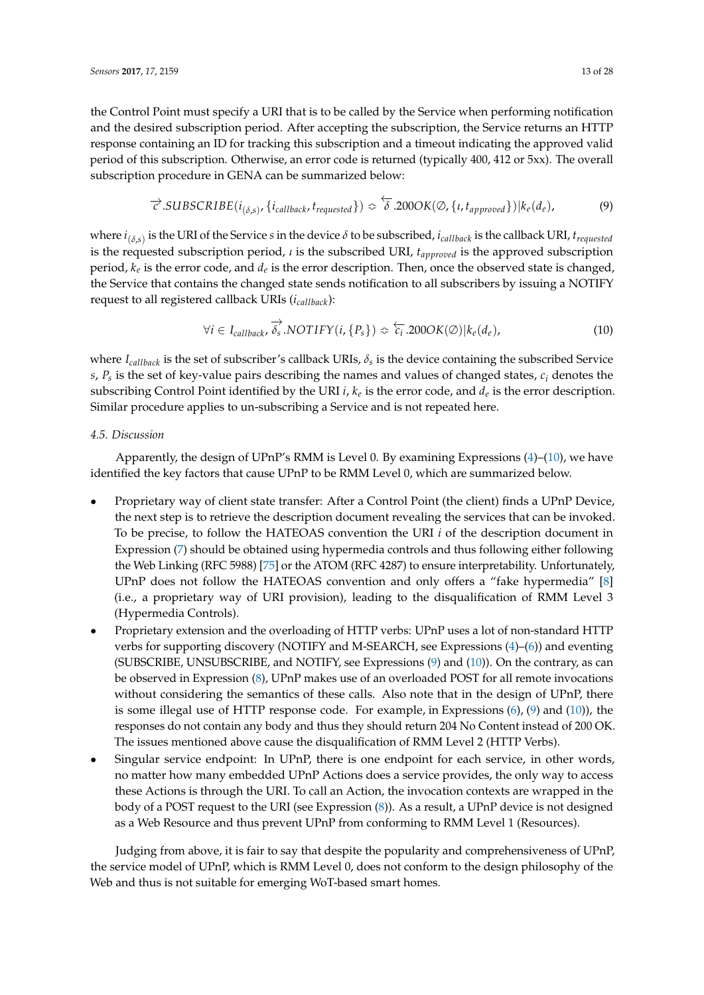the Control Point must specify a URI that is to be called by the Service when performing notification and the desired subscription period. After accepting the subscription, the Service returns an HTTP response containing an ID for tracking this subscription and a timeout indicating the approved valid period of this subscription. Otherwise, an error code is returned (typically 400, 412 or 5xx). The overall subscription procedure in GENA can be summarized below:

<span id="page-12-1"></span>
$$
\overrightarrow{c}.SUBSCRIBE(i_{(\delta,s)},\{i_{callback},t_{requested}\}) \approx \overleftarrow{\delta}.200OK(\emptyset,\{i,t_{approved}\})|k_e(d_e),\tag{9}
$$

where *i* (*δ*,*s*) is the URI of the Service *s* in the device *δ* to be subscribed, *icallback* is the callback URI, *trequested* is the requested subscription period, *ι* is the subscribed URI, *tapproved* is the approved subscription period*,*  $k_e$  is the error code*,* and  $d_e$  is the error description. Then, once the observed state is changed, the Service that contains the changed state sends notification to all subscribers by issuing a NOTIFY request to all registered callback URIs (*icallback*):

<span id="page-12-0"></span>
$$
\forall i \in I_{callback}, \overrightarrow{\delta_s} . NOTIFY(i, \{P_s\}) \Leftrightarrow \overleftarrow{c_i} . 200OK(\emptyset) | k_e(d_e), \tag{10}
$$

where *Icallback* is the set of subscriber's callback URIs, *δ<sup>s</sup>* is the device containing the subscribed Service *s*, *P<sup>s</sup>* is the set of key-value pairs describing the names and values of changed states, *c<sup>i</sup>* denotes the subscribing Control Point identified by the URI *i,*  $k_e$  is the error code, and  $d_e$  is the error description. Similar procedure applies to un-subscribing a Service and is not repeated here.

# *4.5. Discussion*

Apparently, the design of UPnP's RMM is Level 0. By examining Expressions [\(4\)](#page-10-1)–[\(10\)](#page-12-0), we have identified the key factors that cause UPnP to be RMM Level 0, which are summarized below.

- Proprietary way of client state transfer: After a Control Point (the client) finds a UPnP Device, the next step is to retrieve the description document revealing the services that can be invoked. To be precise, to follow the HATEOAS convention the URI *i* of the description document in Expression [\(7\)](#page-11-1) should be obtained using hypermedia controls and thus following either following the Web Linking (RFC 5988) [\[75\]](#page-27-10) or the ATOM (RFC 4287) to ensure interpretability. Unfortunately, UPnP does not follow the HATEOAS convention and only offers a "fake hypermedia" [\[8\]](#page-24-7) (i.e., a proprietary way of URI provision), leading to the disqualification of RMM Level 3 (Hypermedia Controls).
- Proprietary extension and the overloading of HTTP verbs: UPnP uses a lot of non-standard HTTP verbs for supporting discovery (NOTIFY and M-SEARCH, see Expressions [\(4\)](#page-10-1)–[\(6\)](#page-10-2)) and eventing (SUBSCRIBE, UNSUBSCRIBE, and NOTIFY, see Expressions [\(9\)](#page-12-1) and [\(10\)](#page-12-0)). On the contrary, as can be observed in Expression [\(8\)](#page-11-2), UPnP makes use of an overloaded POST for all remote invocations without considering the semantics of these calls. Also note that in the design of UPnP, there is some illegal use of HTTP response code. For example, in Expressions [\(6\)](#page-10-2), [\(9\)](#page-12-1) and [\(10\)](#page-12-0)), the responses do not contain any body and thus they should return 204 No Content instead of 200 OK. The issues mentioned above cause the disqualification of RMM Level 2 (HTTP Verbs).
- Singular service endpoint: In UPnP, there is one endpoint for each service, in other words, no matter how many embedded UPnP Actions does a service provides, the only way to access these Actions is through the URI. To call an Action, the invocation contexts are wrapped in the body of a POST request to the URI (see Expression [\(8\)](#page-11-2)). As a result, a UPnP device is not designed as a Web Resource and thus prevent UPnP from conforming to RMM Level 1 (Resources).

Judging from above, it is fair to say that despite the popularity and comprehensiveness of UPnP, the service model of UPnP, which is RMM Level 0, does not conform to the design philosophy of the Web and thus is not suitable for emerging WoT-based smart homes.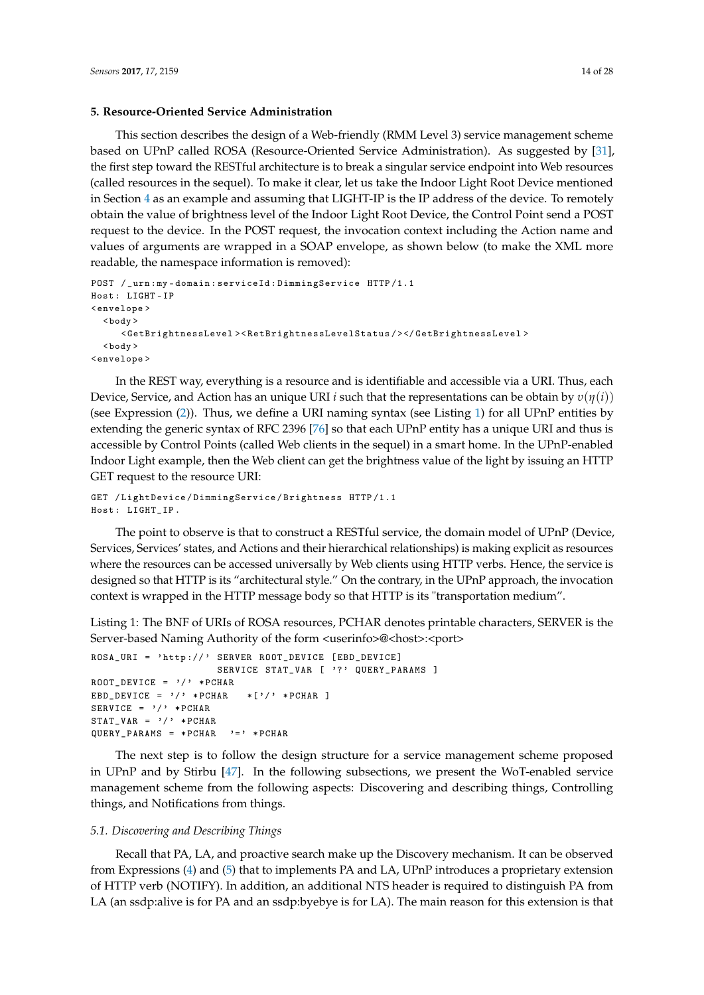## <span id="page-13-1"></span>**5. Resource-Oriented Service Administration**

This section describes the design of a Web-friendly (RMM Level 3) service management scheme based on UPnP called ROSA (Resource-Oriented Service Administration). As suggested by [\[31\]](#page-25-9), the first step toward the RESTful architecture is to break a singular service endpoint into Web resources (called resources in the sequel). To make it clear, let us take the Indoor Light Root Device mentioned in Section [4](#page-9-0) as an example and assuming that LIGHT-IP is the IP address of the device. To remotely obtain the value of brightness level of the Indoor Light Root Device, the Control Point send a POST request to the device. In the POST request, the invocation context including the Action name and values of arguments are wrapped in a SOAP envelope, as shown below (to make the XML more readable, the namespace information is removed):

```
POST / _urn :my - domain : serviceId : DimmingService HTTP /1.1
Host : LIGHT - IP
< envelope >
  <body >< GetBrightnessLevel >< RetBrightnessLevelStatus / > </ GetBrightnessLevel >
  <hody >< envelope >
```
In the REST way, everything is a resource and is identifiable and accessible via a URI. Thus, each Device, Service, and Action has an unique URI *i* such that the representations can be obtain by *υ*(*η*(*i*)) (see Expression [\(2\)](#page-9-1)). Thus, we define a URI naming syntax (see Listing [1\)](#page-13-0) for all UPnP entities by extending the generic syntax of RFC 2396 [\[76\]](#page-27-11) so that each UPnP entity has a unique URI and thus is accessible by Control Points (called Web clients in the sequel) in a smart home. In the UPnP-enabled Indoor Light example, then the Web client can get the brightness value of the light by issuing an HTTP GET request to the resource URI:

```
GET / LightDevice / DimmingService / Brightness HTTP /1.1
Host : LIGHT_IP .
```
The point to observe is that to construct a RESTful service, the domain model of UPnP (Device, Services, Services' states, and Actions and their hierarchical relationships) is making explicit as resources where the resources can be accessed universally by Web clients using HTTP verbs. Hence, the service is designed so that HTTP is its "architectural style." On the contrary, in the UPnP approach, the invocation context is wrapped in the HTTP message body so that HTTP is its "transportation medium".

<span id="page-13-0"></span>Listing 1: The BNF of URIs of ROSA resources, PCHAR denotes printable characters, SERVER is the Server-based Naming Authority of the form <userinfo>@<host>:<port>

```
ROSA_URI = 'http://' SERVER ROOT_DEVICE [EBD_DEVICE]
                      SERVICE STAT_VAR [ '?' QUERY_PARAMS ]
ROOT DEVICE = '/ * PCHAR
EBD DEVICE = '/' * PCHAR * ['/' * PCHAR ]
SERVICE = '/ * PCHAR
STAT VAR = \frac{1}{2} * PCHAR
QUERY PARAMS = * PCHAR '=' * PCHAR
```
The next step is to follow the design structure for a service management scheme proposed in UPnP and by Stirbu [\[47\]](#page-26-4). In the following subsections, we present the WoT-enabled service management scheme from the following aspects: Discovering and describing things, Controlling things, and Notifications from things.

#### *5.1. Discovering and Describing Things*

Recall that PA, LA, and proactive search make up the Discovery mechanism. It can be observed from Expressions [\(4\)](#page-10-1) and [\(5\)](#page-10-3) that to implements PA and LA, UPnP introduces a proprietary extension of HTTP verb (NOTIFY). In addition, an additional NTS header is required to distinguish PA from LA (an ssdp:alive is for PA and an ssdp:byebye is for LA). The main reason for this extension is that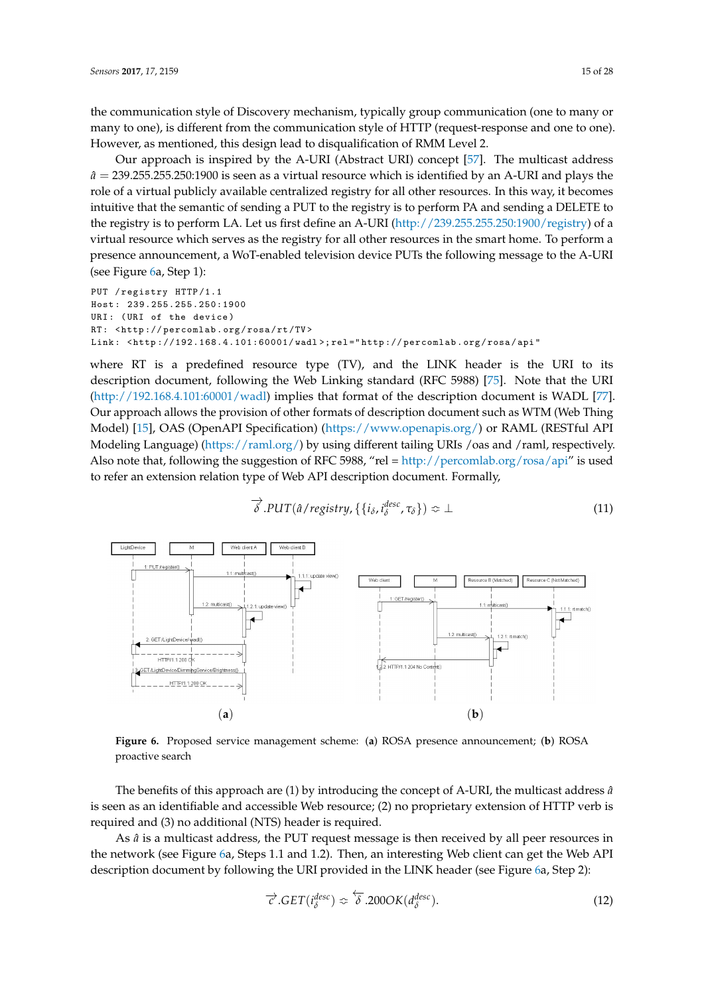the communication style of Discovery mechanism, typically group communication (one to many or many to one), is different from the communication style of HTTP (request-response and one to one). However, as mentioned, this design lead to disqualification of RMM Level 2.

Our approach is inspired by the A-URI (Abstract URI) concept [\[57\]](#page-26-14). The multicast address  $\hat{a}$  = 239.255.255.250:1900 is seen as a virtual resource which is identified by an A-URI and plays the role of a virtual publicly available centralized registry for all other resources. In this way, it becomes intuitive that the semantic of sending a PUT to the registry is to perform PA and sending a DELETE to the registry is to perform LA. Let us first define an A-URI [\(http://239.255.255.250:1900/registry\)](http://239.255.255.250:1900/registry) of a virtual resource which serves as the registry for all other resources in the smart home. To perform a presence announcement, a WoT-enabled television device PUTs the following message to the A-URI (see Figure [6a](#page-14-0), Step 1):

```
PUT / registry HTTP/1.1
Host : 239.255.255.250:1900
URI: (URI of the device)
RT : < http :// percomlab . org / rosa / rt /TV >
Link: <http://192.168.4.101:60001/wadl>;rel="http://percomlab.org/rosa/api"
```
where RT is a predefined resource type (TV), and the LINK header is the URI to its description document, following the Web Linking standard (RFC 5988) [\[75\]](#page-27-10). Note that the URI [\(http://192.168.4.101:60001/wadl\)](http://192.168.4.101:60001/wadl) implies that format of the description document is WADL [\[77\]](#page-27-12). Our approach allows the provision of other formats of description document such as WTM (Web Thing Model) [\[15\]](#page-24-14), OAS (OpenAPI Specification) [\(https://www.openapis.org/\)](https://www.openapis.org/) or RAML (RESTful API Modeling Language) [\(https://raml.org/\)](https://raml.org/) by using different tailing URIs /oas and /raml, respectively. Also note that, following the suggestion of RFC 5988, "rel = [http://percomlab.org/rosa/api"](http://percomlab.org/rosa/api) is used to refer an extension relation type of Web API description document. Formally,

<span id="page-14-1"></span>
$$
\overrightarrow{\delta}.PUT(\hat{a}/\text{registry},\{\{i_{\delta},i_{\delta}^{\text{desc}},\tau_{\delta}\}) \Leftrightarrow \bot
$$
\n(11)

<span id="page-14-0"></span>

**Figure 6.** Proposed service management scheme: (**a**) ROSA presence announcement; (**b**) ROSA proactive search

The benefits of this approach are (1) by introducing the concept of A-URI, the multicast address *a*ˆ is seen as an identifiable and accessible Web resource; (2) no proprietary extension of HTTP verb is required and (3) no additional (NTS) header is required.

As  $\hat{a}$  is a multicast address, the PUT request message is then received by all peer resources in the network (see Figure [6a](#page-14-0), Steps 1.1 and 1.2). Then, an interesting Web client can get the Web API description document by following the URI provided in the LINK header (see Figure [6a](#page-14-0), Step 2):

$$
\overrightarrow{c}.GET(i_{\delta}^{desc}) \Leftrightarrow \overleftarrow{\delta}.200OK(d_{\delta}^{desc}). \qquad (12)
$$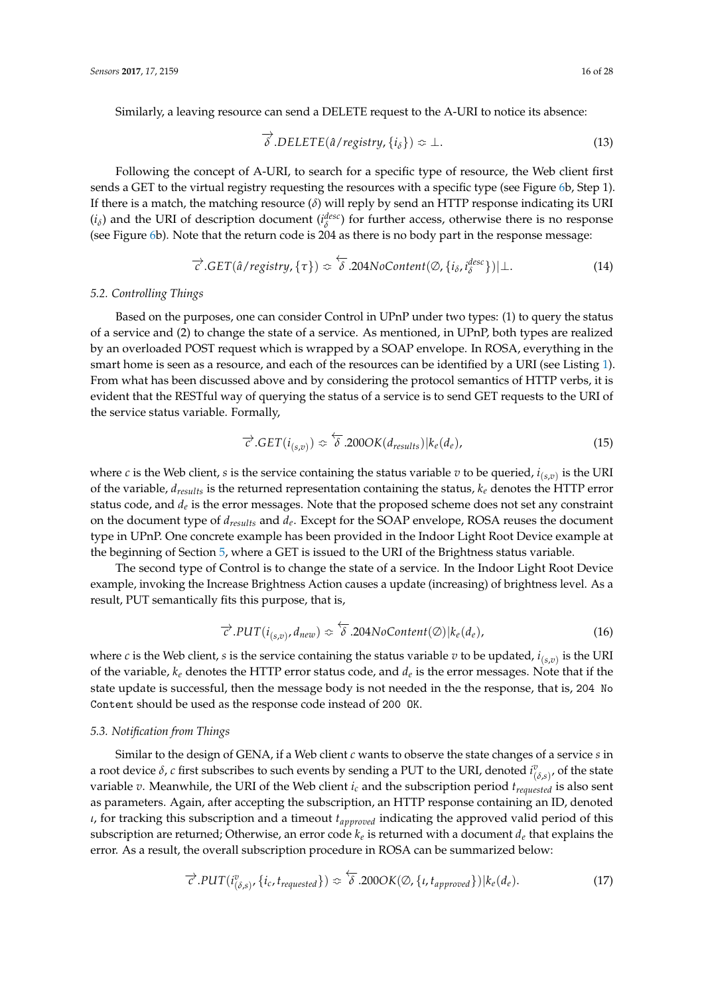Similarly, a leaving resource can send a DELETE request to the A-URI to notice its absence:

<span id="page-15-1"></span>
$$
\overrightarrow{\delta} . \text{DELETE}(\hat{a}/\text{registry}, \{i_\delta\}) \approx \bot. \tag{13}
$$

Following the concept of A-URI, to search for a specific type of resource, the Web client first sends a GET to the virtual registry requesting the resources with a specific type (see Figure [6b](#page-14-0), Step 1). If there is a match, the matching resource (*δ*) will reply by send an HTTP response indicating its URI  $(i_{\delta})$  and the URI of description document  $(i_{\delta}^{desc})$  for further access, otherwise there is no response (see Figure [6b](#page-14-0)). Note that the return code is 204 as there is no body part in the response message:

<span id="page-15-0"></span>
$$
\overrightarrow{c}.GET(\hat{a}/registery, \{\tau\}) \approx \overleftarrow{\delta}.204NoContent(\emptyset, \{i_{\delta}, i_{\delta}^{desc}\})|\perp.
$$
 (14)

## *5.2. Controlling Things*

Based on the purposes, one can consider Control in UPnP under two types: (1) to query the status of a service and (2) to change the state of a service. As mentioned, in UPnP, both types are realized by an overloaded POST request which is wrapped by a SOAP envelope. In ROSA, everything in the smart home is seen as a resource, and each of the resources can be identified by a URI (see Listing [1\)](#page-13-0). From what has been discussed above and by considering the protocol semantics of HTTP verbs, it is evident that the RESTful way of querying the status of a service is to send GET requests to the URI of the service status variable. Formally,

<span id="page-15-2"></span>
$$
\overrightarrow{c}.GET(i_{(s,v)}) \approx \overleftarrow{\delta}.200OK(d_{results})|k_e(d_e), \qquad (15)
$$

where  $c$  is the Web client,  $s$  is the service containing the status variable  $v$  to be queried,  $i_{(s,v)}$  is the URI of the variable, *dresults* is the returned representation containing the status, *k<sup>e</sup>* denotes the HTTP error status code, and  $d_e$  is the error messages. Note that the proposed scheme does not set any constraint on the document type of *dresults* and *d<sup>e</sup>* . Except for the SOAP envelope, ROSA reuses the document type in UPnP. One concrete example has been provided in the Indoor Light Root Device example at the beginning of Section [5,](#page-13-1) where a GET is issued to the URI of the Brightness status variable.

The second type of Control is to change the state of a service. In the Indoor Light Root Device example, invoking the Increase Brightness Action causes a update (increasing) of brightness level. As a result, PUT semantically fits this purpose, that is,

<span id="page-15-3"></span>
$$
\overrightarrow{c}.PUT(i_{(s,v)},d_{new}) \simeq \overleftarrow{\delta}.204NoContent(\emptyset)|k_e(d_e), \qquad (16)
$$

where *c* is the Web client, *s* is the service containing the status variable *v* to be updated,  $i_{(s,v)}$  is the URI of the variable, *k<sup>e</sup>* denotes the HTTP error status code, and *d<sup>e</sup>* is the error messages. Note that if the state update is successful, then the message body is not needed in the the response, that is, 204 No Content should be used as the response code instead of 200 OK.

## *5.3. Notification from Things*

Similar to the design of GENA, if a Web client *c* wants to observe the state changes of a service *s* in a root device  $\delta$ , *c* first subscribes to such events by sending a PUT to the URI, denoted  $i^v_{(\delta,s)}$ , of the state variable *v*. Meanwhile, the URI of the Web client *i<sup>c</sup>* and the subscription period *trequested* is also sent as parameters. Again, after accepting the subscription, an HTTP response containing an ID, denoted *ι*, for tracking this subscription and a timeout *tapproved* indicating the approved valid period of this subscription are returned; Otherwise, an error code *k<sup>e</sup>* is returned with a document *d<sup>e</sup>* that explains the error. As a result, the overall subscription procedure in ROSA can be summarized below:

<span id="page-15-4"></span>
$$
\overrightarrow{c}.PUT(i^v_{(\delta,s)},\{i_c,t_{requested}\}) \overset{\longleftrightarrow}{\sim} .200OK(\emptyset,\{t,t_{approved}\})|k_e(d_e). \tag{17}
$$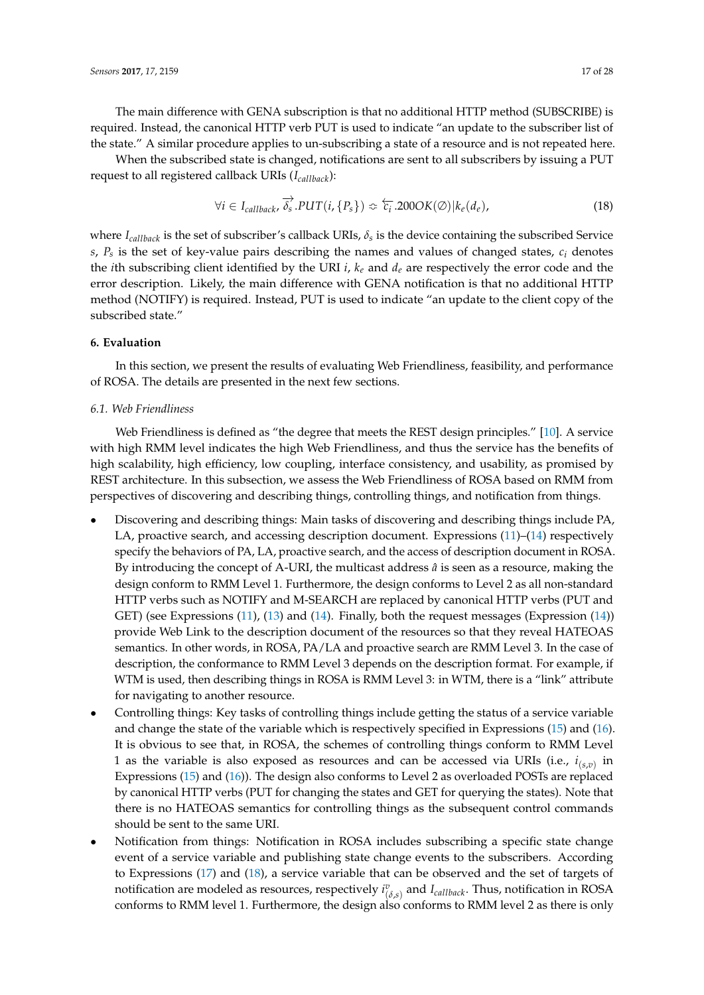The main difference with GENA subscription is that no additional HTTP method (SUBSCRIBE) is required. Instead, the canonical HTTP verb PUT is used to indicate "an update to the subscriber list of the state." A similar procedure applies to un-subscribing a state of a resource and is not repeated here.

When the subscribed state is changed, notifications are sent to all subscribers by issuing a PUT request to all registered callback URIs (*Icallback*):

<span id="page-16-0"></span>
$$
\forall i \in I_{\textit{callback}}, \overrightarrow{\delta_s}.PUT(i, \{P_s\}) \Leftrightarrow \overleftarrow{\epsilon_i}.200OK(\emptyset)|k_e(d_e), \tag{18}
$$

where *Icallback* is the set of subscriber's callback URIs, *δ<sup>s</sup>* is the device containing the subscribed Service *s*, *P<sup>s</sup>* is the set of key-value pairs describing the names and values of changed states, *c<sup>i</sup>* denotes the *i*th subscribing client identified by the URI *i*, *k<sup>e</sup>* and *d<sup>e</sup>* are respectively the error code and the error description. Likely, the main difference with GENA notification is that no additional HTTP method (NOTIFY) is required. Instead, PUT is used to indicate "an update to the client copy of the subscribed state."

# **6. Evaluation**

In this section, we present the results of evaluating Web Friendliness, feasibility, and performance of ROSA. The details are presented in the next few sections.

# *6.1. Web Friendliness*

Web Friendliness is defined as "the degree that meets the REST design principles." [\[10\]](#page-24-9). A service with high RMM level indicates the high Web Friendliness, and thus the service has the benefits of high scalability, high efficiency, low coupling, interface consistency, and usability, as promised by REST architecture. In this subsection, we assess the Web Friendliness of ROSA based on RMM from perspectives of discovering and describing things, controlling things, and notification from things.

- Discovering and describing things: Main tasks of discovering and describing things include PA, LA, proactive search, and accessing description document. Expressions [\(11\)](#page-14-1)–[\(14\)](#page-15-0) respectively specify the behaviors of PA, LA, proactive search, and the access of description document in ROSA. By introducing the concept of A-URI, the multicast address  $\hat{a}$  is seen as a resource, making the design conform to RMM Level 1. Furthermore, the design conforms to Level 2 as all non-standard HTTP verbs such as NOTIFY and M-SEARCH are replaced by canonical HTTP verbs (PUT and GET) (see Expressions [\(11\)](#page-14-1), [\(13\)](#page-15-1) and [\(14\)](#page-15-0). Finally, both the request messages (Expression [\(14\)](#page-15-0)) provide Web Link to the description document of the resources so that they reveal HATEOAS semantics. In other words, in ROSA, PA/LA and proactive search are RMM Level 3. In the case of description, the conformance to RMM Level 3 depends on the description format. For example, if WTM is used, then describing things in ROSA is RMM Level 3: in WTM, there is a "link" attribute for navigating to another resource.
- Controlling things: Key tasks of controlling things include getting the status of a service variable and change the state of the variable which is respectively specified in Expressions [\(15\)](#page-15-2) and [\(16\)](#page-15-3). It is obvious to see that, in ROSA, the schemes of controlling things conform to RMM Level 1 as the variable is also exposed as resources and can be accessed via URIs (i.e.,  $i_{(s,v)}$  in Expressions [\(15\)](#page-15-2) and [\(16\)](#page-15-3)). The design also conforms to Level 2 as overloaded POSTs are replaced by canonical HTTP verbs (PUT for changing the states and GET for querying the states). Note that there is no HATEOAS semantics for controlling things as the subsequent control commands should be sent to the same URI.
- Notification from things: Notification in ROSA includes subscribing a specific state change event of a service variable and publishing state change events to the subscribers. According to Expressions [\(17\)](#page-15-4) and [\(18\)](#page-16-0), a service variable that can be observed and the set of targets of notification are modeled as resources, respectively  $i^v_{(\delta,s)}$  and  $I_{callback}$ . Thus, notification in ROSA conforms to RMM level 1. Furthermore, the design also conforms to RMM level 2 as there is only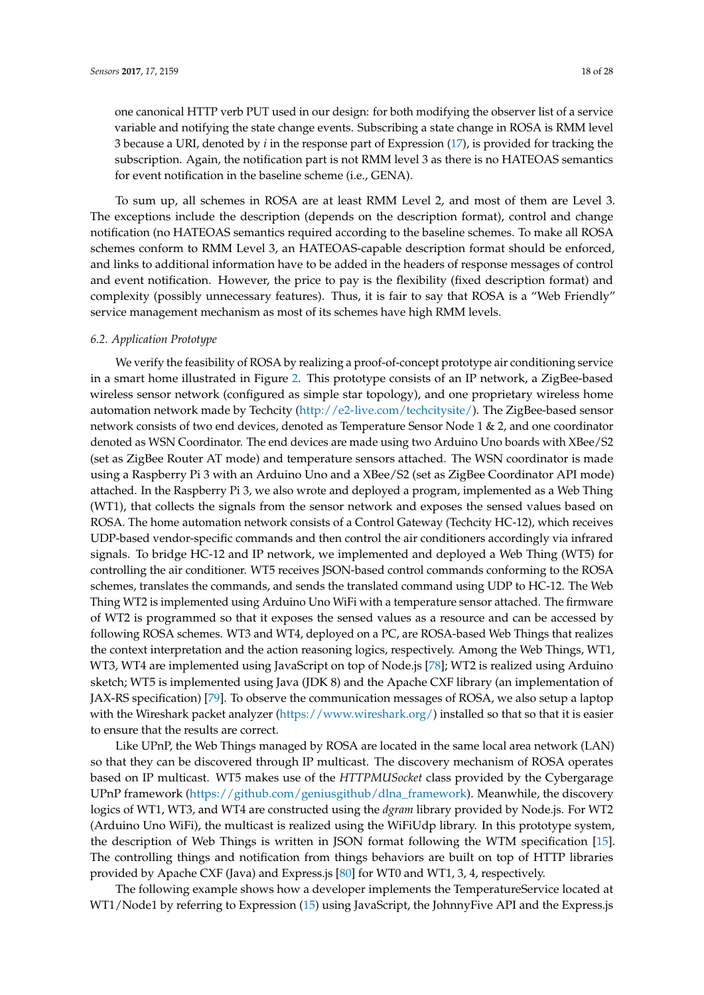one canonical HTTP verb PUT used in our design: for both modifying the observer list of a service variable and notifying the state change events. Subscribing a state change in ROSA is RMM level 3 because a URI, denoted by *i* in the response part of Expression [\(17\)](#page-15-4), is provided for tracking the subscription. Again, the notification part is not RMM level 3 as there is no HATEOAS semantics for event notification in the baseline scheme (i.e., GENA).

To sum up, all schemes in ROSA are at least RMM Level 2, and most of them are Level 3. The exceptions include the description (depends on the description format), control and change notification (no HATEOAS semantics required according to the baseline schemes. To make all ROSA schemes conform to RMM Level 3, an HATEOAS-capable description format should be enforced, and links to additional information have to be added in the headers of response messages of control and event notification. However, the price to pay is the flexibility (fixed description format) and complexity (possibly unnecessary features). Thus, it is fair to say that ROSA is a "Web Friendly" service management mechanism as most of its schemes have high RMM levels.

#### *6.2. Application Prototype*

We verify the feasibility of ROSA by realizing a proof-of-concept prototype air conditioning service in a smart home illustrated in Figure [2.](#page-3-1) This prototype consists of an IP network, a ZigBee-based wireless sensor network (configured as simple star topology), and one proprietary wireless home automation network made by Techcity [\(http://e2-live.com/techcitysite/\)](http://e2-live.com/techcitysite/). The ZigBee-based sensor network consists of two end devices, denoted as Temperature Sensor Node 1 & 2, and one coordinator denoted as WSN Coordinator. The end devices are made using two Arduino Uno boards with XBee/S2 (set as ZigBee Router AT mode) and temperature sensors attached. The WSN coordinator is made using a Raspberry Pi 3 with an Arduino Uno and a XBee/S2 (set as ZigBee Coordinator API mode) attached. In the Raspberry Pi 3, we also wrote and deployed a program, implemented as a Web Thing (WT1), that collects the signals from the sensor network and exposes the sensed values based on ROSA. The home automation network consists of a Control Gateway (Techcity HC-12), which receives UDP-based vendor-specific commands and then control the air conditioners accordingly via infrared signals. To bridge HC-12 and IP network, we implemented and deployed a Web Thing (WT5) for controlling the air conditioner. WT5 receives JSON-based control commands conforming to the ROSA schemes, translates the commands, and sends the translated command using UDP to HC-12. The Web Thing WT2 is implemented using Arduino Uno WiFi with a temperature sensor attached. The firmware of WT2 is programmed so that it exposes the sensed values as a resource and can be accessed by following ROSA schemes. WT3 and WT4, deployed on a PC, are ROSA-based Web Things that realizes the context interpretation and the action reasoning logics, respectively. Among the Web Things, WT1, WT3, WT4 are implemented using JavaScript on top of Node.js [\[78\]](#page-27-13); WT2 is realized using Arduino sketch; WT5 is implemented using Java (JDK 8) and the Apache CXF library (an implementation of JAX-RS specification) [\[79\]](#page-27-14). To observe the communication messages of ROSA, we also setup a laptop with the Wireshark packet analyzer [\(https://www.wireshark.org/\)](https://www.wireshark.org/) installed so that so that it is easier to ensure that the results are correct.

Like UPnP, the Web Things managed by ROSA are located in the same local area network (LAN) so that they can be discovered through IP multicast. The discovery mechanism of ROSA operates based on IP multicast. WT5 makes use of the *HTTPMUSocket* class provided by the Cybergarage UPnP framework [\(https://github.com/geniusgithub/dlna\\_framework\)](https://github.com/geniusgithub/dlna_framework). Meanwhile, the discovery logics of WT1, WT3, and WT4 are constructed using the *dgram* library provided by Node.js. For WT2 (Arduino Uno WiFi), the multicast is realized using the WiFiUdp library. In this prototype system, the description of Web Things is written in JSON format following the WTM specification [\[15\]](#page-24-14). The controlling things and notification from things behaviors are built on top of HTTP libraries provided by Apache CXF (Java) and Express.js [\[80\]](#page-27-15) for WT0 and WT1, 3, 4, respectively.

The following example shows how a developer implements the TemperatureService located at WT1/Node1 by referring to Expression [\(15\)](#page-15-2) using JavaScript, the JohnnyFive API and the Express.js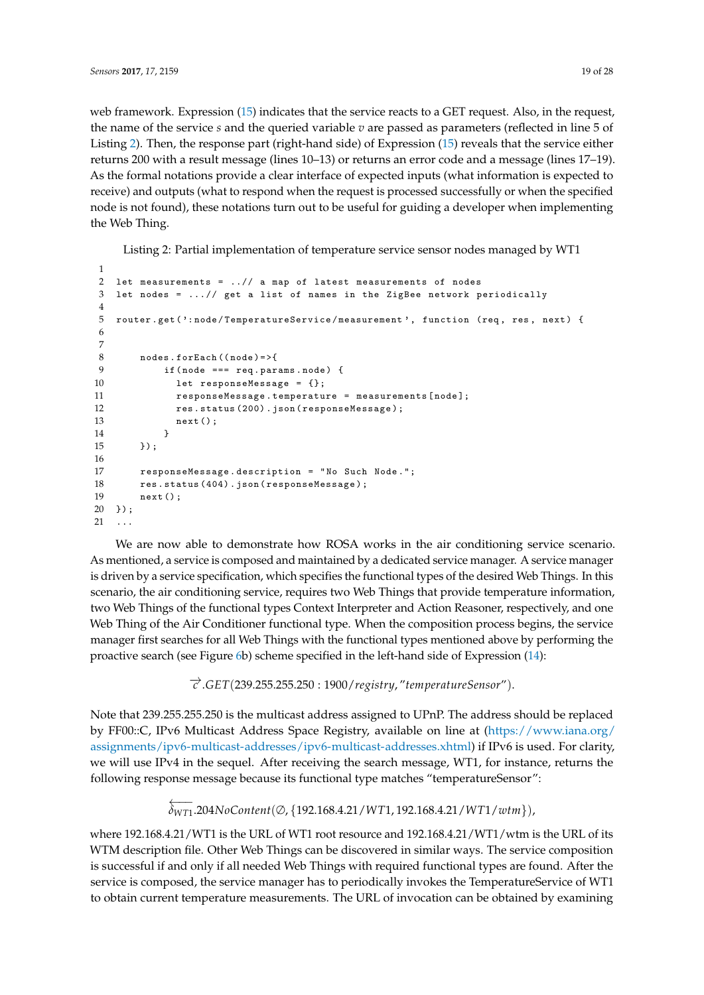web framework. Expression [\(15\)](#page-15-2) indicates that the service reacts to a GET request. Also, in the request, the name of the service *s* and the queried variable *v* are passed as parameters (reflected in line 5 of Listing [2\)](#page-18-0). Then, the response part (right-hand side) of Expression [\(15\)](#page-15-2) reveals that the service either returns 200 with a result message (lines 10–13) or returns an error code and a message (lines 17–19). As the formal notations provide a clear interface of expected inputs (what information is expected to receive) and outputs (what to respond when the request is processed successfully or when the specified node is not found), these notations turn out to be useful for guiding a developer when implementing the Web Thing.

Listing 2: Partial implementation of temperature service sensor nodes managed by WT1

```
1
2 let measurements = ..// a map of latest measurements of nodes
3 let nodes = ...// get a list of names in the ZigBee network periodically
4
5 router . get ( ': node / TemperatureService / measurement ', function ( req , res , next ) {
6
7
8 nodes . for Each ((node) = > {
9 if (node === req.params.node) {
10 let responseMessage = {};
11 responseMessage . temperature = measurements [ node ];
12 res . status (200) . json ( responseMessage ) ;
13 next () ;
14 }
15 }) ;
16
17 responseMessage . description = " No Such Node .";
18 res.status (404).json (responseMessage);
19 next () ;
20 }) ;
21 ...
```
We are now able to demonstrate how ROSA works in the air conditioning service scenario. As mentioned, a service is composed and maintained by a dedicated service manager. A service manager is driven by a service specification, which specifies the functional types of the desired Web Things. In this scenario, the air conditioning service, requires two Web Things that provide temperature information, two Web Things of the functional types Context Interpreter and Action Reasoner, respectively, and one Web Thing of the Air Conditioner functional type. When the composition process begins, the service manager first searches for all Web Things with the functional types mentioned above by performing the proactive search (see Figure [6b](#page-14-0)) scheme specified in the left-hand side of Expression [\(14\)](#page-15-0):

−→*<sup>c</sup>* .*GET*(239.255.255.250 : 1900/*registry*, "*temperatureSensor*").

Note that 239.255.255.250 is the multicast address assigned to UPnP. The address should be replaced by FF00::C, IPv6 Multicast Address Space Registry, available on line at [\(https://www.iana.org/](https://www.iana.org/assignments/ipv6-multicast-addresses/ipv6-multicast-addresses.xhtml) [assignments/ipv6-multicast-addresses/ipv6-multicast-addresses.xhtml\)](https://www.iana.org/assignments/ipv6-multicast-addresses/ipv6-multicast-addresses.xhtml) if IPv6 is used. For clarity, we will use IPv4 in the sequel. After receiving the search message, WT1, for instance, returns the following response message because its functional type matches "temperatureSensor":

> ←−− *δWT*1 .204*NoContent*(∅, {192.168.4.21/*WT*1, 192.168.4.21/*WT*1/*wtm*}),

where 192.168.4.21/WT1 is the URL of WT1 root resource and 192.168.4.21/WT1/wtm is the URL of its WTM description file. Other Web Things can be discovered in similar ways. The service composition is successful if and only if all needed Web Things with required functional types are found. After the service is composed, the service manager has to periodically invokes the TemperatureService of WT1 to obtain current temperature measurements. The URL of invocation can be obtained by examining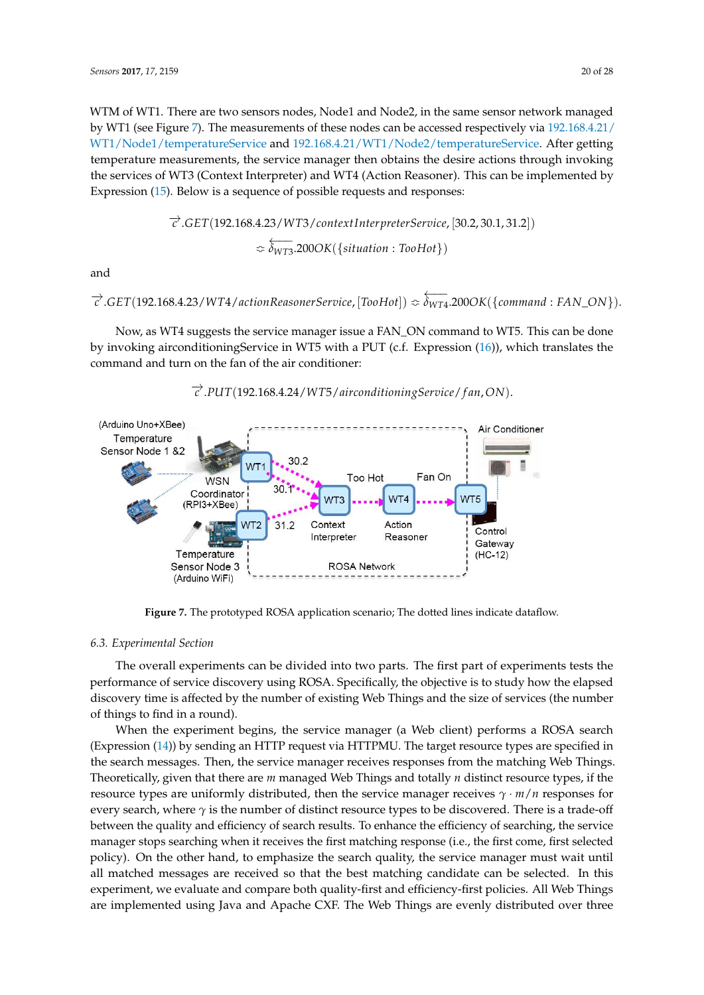WTM of WT1. There are two sensors nodes, Node1 and Node2, in the same sensor network managed by WT1 (see Figure [7\)](#page-19-0). The measurements of these nodes can be accessed respectively via [192.168.4.21/](192.168.4.21/WT1/Node1/temperatureService) [WT1/Node1/temperatureService](192.168.4.21/WT1/Node1/temperatureService) and [192.168.4.21/WT1/Node2/temperatureService.](192.168.4.21/WT1/Node2/temperatureService) After getting temperature measurements, the service manager then obtains the desire actions through invoking the services of WT3 (Context Interpreter) and WT4 (Action Reasoner). This can be implemented by Expression [\(15\)](#page-15-2). Below is a sequence of possible requests and responses:

$$
\overrightarrow{c}.GET(192.168.4.23/WT3/contextInterpreterService, [30.2, 30.1, 31.2])
$$
  

$$
\approx \overleftarrow{\delta_{WT3}}.200OK({stitution:ToHot})
$$

and

$$
\overrightarrow{c}.GET(192.168.4.23/WT4/actionReasonerService, [TooHot]) \approx \overleftarrow{\delta_{WT4}}.200OK(\{command: rAN_ON\}).
$$

Now, as WT4 suggests the service manager issue a FAN\_ON command to WT5. This can be done by invoking airconditioningService in WT5 with a PUT (c.f. Expression [\(16\)](#page-15-3)), which translates the command and turn on the fan of the air conditioner:

<span id="page-19-0"></span>

−→*<sup>c</sup>* .*PUT*(192.168.4.24/*WT*5/*airconditioningService*/ *f an*,*ON*).

**Figure 7.** The prototyped ROSA application scenario; The dotted lines indicate dataflow.

#### *6.3. Experimental Section*

The overall experiments can be divided into two parts. The first part of experiments tests the performance of service discovery using ROSA. Specifically, the objective is to study how the elapsed discovery time is affected by the number of existing Web Things and the size of services (the number of things to find in a round).

When the experiment begins, the service manager (a Web client) performs a ROSA search (Expression [\(14\)](#page-15-0)) by sending an HTTP request via HTTPMU. The target resource types are specified in the search messages. Then, the service manager receives responses from the matching Web Things. Theoretically, given that there are *m* managed Web Things and totally *n* distinct resource types, if the resource types are uniformly distributed, then the service manager receives *γ* · *m*/*n* responses for every search, where  $\gamma$  is the number of distinct resource types to be discovered. There is a trade-off between the quality and efficiency of search results. To enhance the efficiency of searching, the service manager stops searching when it receives the first matching response (i.e., the first come, first selected policy). On the other hand, to emphasize the search quality, the service manager must wait until all matched messages are received so that the best matching candidate can be selected. In this experiment, we evaluate and compare both quality-first and efficiency-first policies. All Web Things are implemented using Java and Apache CXF. The Web Things are evenly distributed over three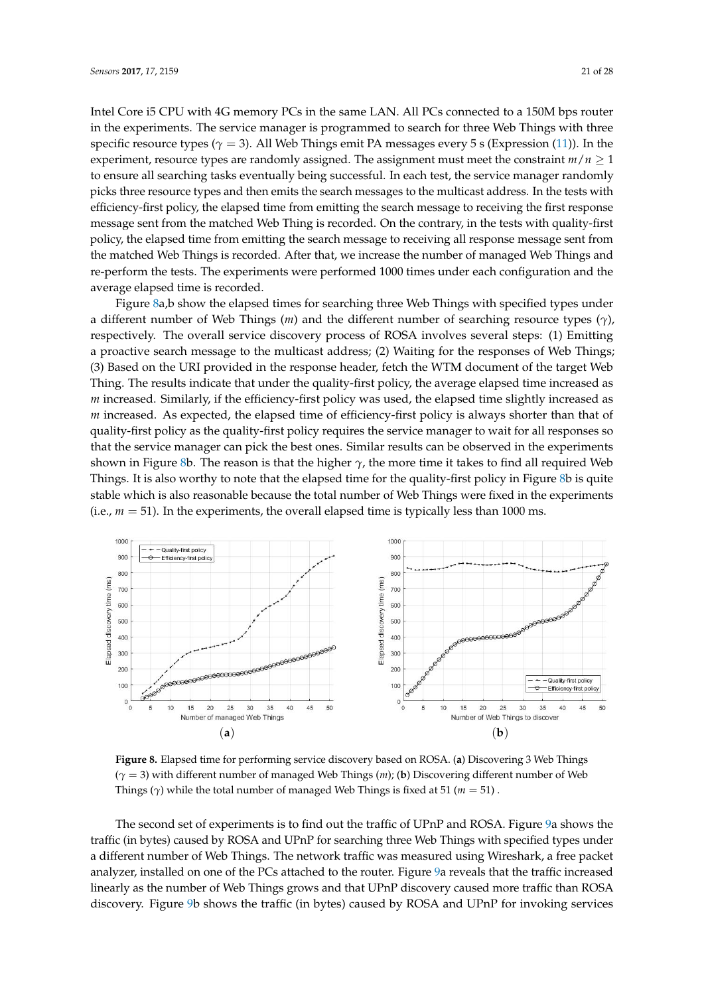Intel Core i5 CPU with 4G memory PCs in the same LAN. All PCs connected to a 150M bps router in the experiments. The service manager is programmed to search for three Web Things with three specific resource types (*γ* = 3). All Web Things emit PA messages every 5 s (Expression [\(11\)](#page-14-1)). In the experiment, resource types are randomly assigned. The assignment must meet the constraint  $m/n \geq 1$ to ensure all searching tasks eventually being successful. In each test, the service manager randomly picks three resource types and then emits the search messages to the multicast address. In the tests with efficiency-first policy, the elapsed time from emitting the search message to receiving the first response message sent from the matched Web Thing is recorded. On the contrary, in the tests with quality-first policy, the elapsed time from emitting the search message to receiving all response message sent from the matched Web Things is recorded. After that, we increase the number of managed Web Things and re-perform the tests. The experiments were performed 1000 times under each configuration and the average elapsed time is recorded.

Figure [8a](#page-20-0),b show the elapsed times for searching three Web Things with specified types under a different number of Web Things (*m*) and the different number of searching resource types (*γ*), respectively. The overall service discovery process of ROSA involves several steps: (1) Emitting a proactive search message to the multicast address; (2) Waiting for the responses of Web Things; (3) Based on the URI provided in the response header, fetch the WTM document of the target Web Thing. The results indicate that under the quality-first policy, the average elapsed time increased as *m* increased. Similarly, if the efficiency-first policy was used, the elapsed time slightly increased as *m* increased. As expected, the elapsed time of efficiency-first policy is always shorter than that of quality-first policy as the quality-first policy requires the service manager to wait for all responses so that the service manager can pick the best ones. Similar results can be observed in the experiments shown in Figure [8b](#page-20-0). The reason is that the higher  $\gamma$ , the more time it takes to find all required Web Things. It is also worthy to note that the elapsed time for the quality-first policy in Figure [8b](#page-20-0) is quite stable which is also reasonable because the total number of Web Things were fixed in the experiments (i.e.,  $m = 51$ ). In the experiments, the overall elapsed time is typically less than 1000 ms.

<span id="page-20-0"></span>

**Figure 8.** Elapsed time for performing service discovery based on ROSA. (**a**) Discovering 3 Web Things (*γ* = 3) with different number of managed Web Things (*m*); (**b**) Discovering different number of Web Things ( $\gamma$ ) while the total number of managed Web Things is fixed at 51 ( $m = 51$ ).

The second set of experiments is to find out the traffic of UPnP and ROSA. Figure [9a](#page-21-1) shows the traffic (in bytes) caused by ROSA and UPnP for searching three Web Things with specified types under a different number of Web Things. The network traffic was measured using Wireshark, a free packet analyzer, installed on one of the PCs attached to the router. Figure [9a](#page-21-1) reveals that the traffic increased linearly as the number of Web Things grows and that UPnP discovery caused more traffic than ROSA discovery. Figure [9b](#page-21-1) shows the traffic (in bytes) caused by ROSA and UPnP for invoking services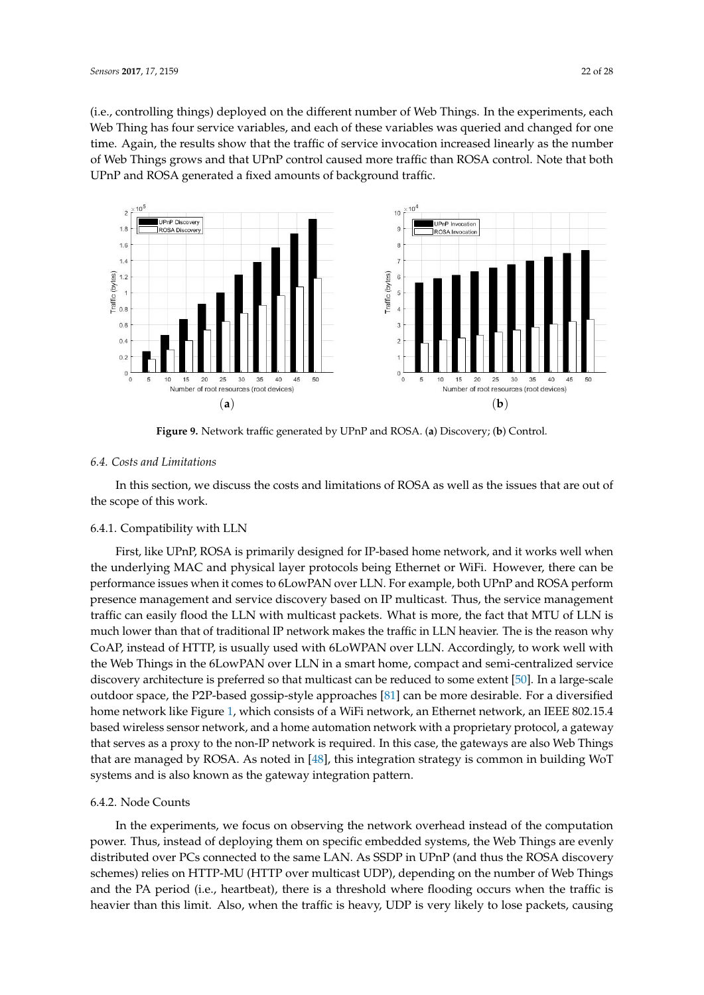(i.e., controlling things) deployed on the different number of Web Things. In the experiments, each Web Thing has four service variables, and each of these variables was queried and changed for one time. Again, the results show that the traffic of service invocation increased linearly as the number of Web Things grows and that UPnP control caused more traffic than ROSA control. Note that both UPnP and ROSA generated a fixed amounts of background traffic.

<span id="page-21-1"></span>

**Figure 9.** Network traffic generated by UPnP and ROSA. (**a**) Discovery; (**b**) Control.

# <span id="page-21-0"></span>*6.4. Costs and Limitations*

In this section, we discuss the costs and limitations of ROSA as well as the issues that are out of the scope of this work.

#### 6.4.1. Compatibility with LLN

First, like UPnP, ROSA is primarily designed for IP-based home network, and it works well when the underlying MAC and physical layer protocols being Ethernet or WiFi. However, there can be performance issues when it comes to 6LowPAN over LLN. For example, both UPnP and ROSA perform presence management and service discovery based on IP multicast. Thus, the service management traffic can easily flood the LLN with multicast packets. What is more, the fact that MTU of LLN is much lower than that of traditional IP network makes the traffic in LLN heavier. The is the reason why CoAP, instead of HTTP, is usually used with 6LoWPAN over LLN. Accordingly, to work well with the Web Things in the 6LowPAN over LLN in a smart home, compact and semi-centralized service discovery architecture is preferred so that multicast can be reduced to some extent [\[50\]](#page-26-7). In a large-scale outdoor space, the P2P-based gossip-style approaches [\[81\]](#page-27-16) can be more desirable. For a diversified home network like Figure [1,](#page-3-0) which consists of a WiFi network, an Ethernet network, an IEEE 802.15.4 based wireless sensor network, and a home automation network with a proprietary protocol, a gateway that serves as a proxy to the non-IP network is required. In this case, the gateways are also Web Things that are managed by ROSA. As noted in [\[48\]](#page-26-5), this integration strategy is common in building WoT systems and is also known as the gateway integration pattern.

## 6.4.2. Node Counts

In the experiments, we focus on observing the network overhead instead of the computation power. Thus, instead of deploying them on specific embedded systems, the Web Things are evenly distributed over PCs connected to the same LAN. As SSDP in UPnP (and thus the ROSA discovery schemes) relies on HTTP-MU (HTTP over multicast UDP), depending on the number of Web Things and the PA period (i.e., heartbeat), there is a threshold where flooding occurs when the traffic is heavier than this limit. Also, when the traffic is heavy, UDP is very likely to lose packets, causing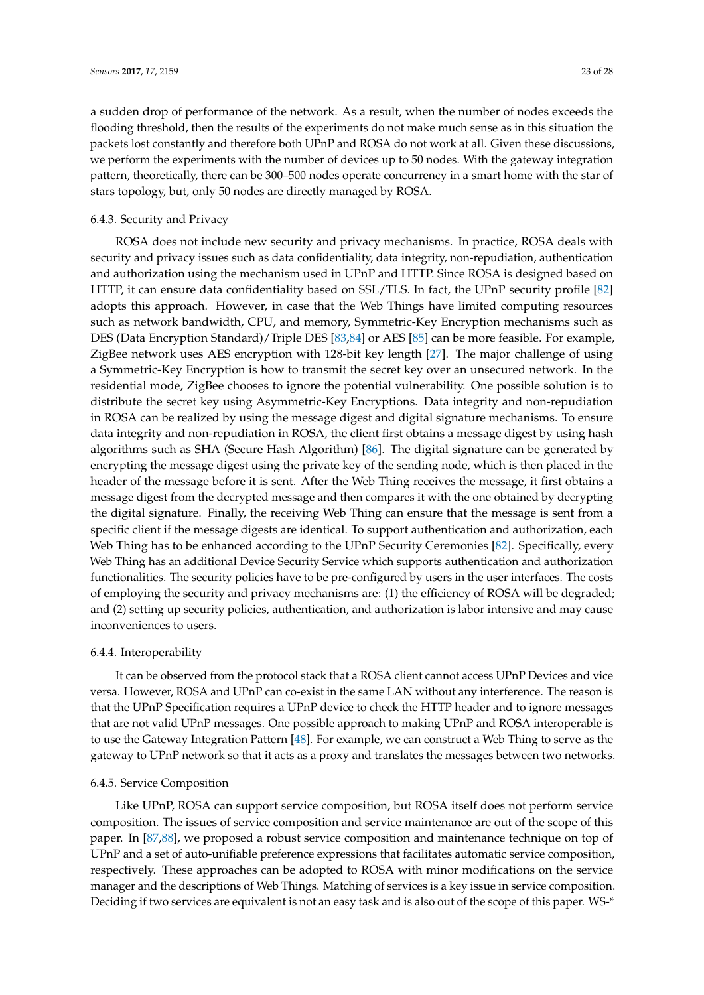a sudden drop of performance of the network. As a result, when the number of nodes exceeds the flooding threshold, then the results of the experiments do not make much sense as in this situation the packets lost constantly and therefore both UPnP and ROSA do not work at all. Given these discussions, we perform the experiments with the number of devices up to 50 nodes. With the gateway integration pattern, theoretically, there can be 300–500 nodes operate concurrency in a smart home with the star of stars topology, but, only 50 nodes are directly managed by ROSA.

#### 6.4.3. Security and Privacy

ROSA does not include new security and privacy mechanisms. In practice, ROSA deals with security and privacy issues such as data confidentiality, data integrity, non-repudiation, authentication and authorization using the mechanism used in UPnP and HTTP. Since ROSA is designed based on HTTP, it can ensure data confidentiality based on SSL/TLS. In fact, the UPnP security profile [\[82\]](#page-27-17) adopts this approach. However, in case that the Web Things have limited computing resources such as network bandwidth, CPU, and memory, Symmetric-Key Encryption mechanisms such as DES (Data Encryption Standard)/Triple DES [\[83,](#page-27-18)[84\]](#page-27-19) or AES [\[85\]](#page-27-20) can be more feasible. For example, ZigBee network uses AES encryption with 128-bit key length [\[27\]](#page-25-5). The major challenge of using a Symmetric-Key Encryption is how to transmit the secret key over an unsecured network. In the residential mode, ZigBee chooses to ignore the potential vulnerability. One possible solution is to distribute the secret key using Asymmetric-Key Encryptions. Data integrity and non-repudiation in ROSA can be realized by using the message digest and digital signature mechanisms. To ensure data integrity and non-repudiation in ROSA, the client first obtains a message digest by using hash algorithms such as SHA (Secure Hash Algorithm) [\[86\]](#page-27-21). The digital signature can be generated by encrypting the message digest using the private key of the sending node, which is then placed in the header of the message before it is sent. After the Web Thing receives the message, it first obtains a message digest from the decrypted message and then compares it with the one obtained by decrypting the digital signature. Finally, the receiving Web Thing can ensure that the message is sent from a specific client if the message digests are identical. To support authentication and authorization, each Web Thing has to be enhanced according to the UPnP Security Ceremonies [\[82\]](#page-27-17). Specifically, every Web Thing has an additional Device Security Service which supports authentication and authorization functionalities. The security policies have to be pre-configured by users in the user interfaces. The costs of employing the security and privacy mechanisms are: (1) the efficiency of ROSA will be degraded; and (2) setting up security policies, authentication, and authorization is labor intensive and may cause inconveniences to users.

## 6.4.4. Interoperability

It can be observed from the protocol stack that a ROSA client cannot access UPnP Devices and vice versa. However, ROSA and UPnP can co-exist in the same LAN without any interference. The reason is that the UPnP Specification requires a UPnP device to check the HTTP header and to ignore messages that are not valid UPnP messages. One possible approach to making UPnP and ROSA interoperable is to use the Gateway Integration Pattern [\[48\]](#page-26-5). For example, we can construct a Web Thing to serve as the gateway to UPnP network so that it acts as a proxy and translates the messages between two networks.

## 6.4.5. Service Composition

Like UPnP, ROSA can support service composition, but ROSA itself does not perform service composition. The issues of service composition and service maintenance are out of the scope of this paper. In [\[87](#page-27-22)[,88\]](#page-27-23), we proposed a robust service composition and maintenance technique on top of UPnP and a set of auto-unifiable preference expressions that facilitates automatic service composition, respectively. These approaches can be adopted to ROSA with minor modifications on the service manager and the descriptions of Web Things. Matching of services is a key issue in service composition. Deciding if two services are equivalent is not an easy task and is also out of the scope of this paper. WS-\*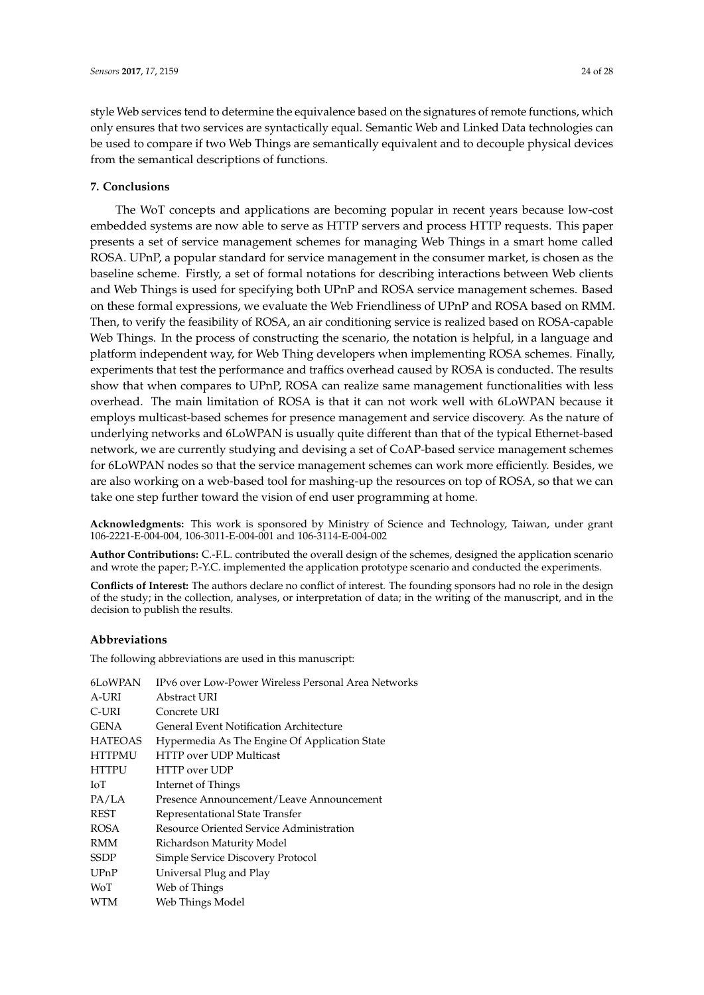style Web services tend to determine the equivalence based on the signatures of remote functions, which only ensures that two services are syntactically equal. Semantic Web and Linked Data technologies can be used to compare if two Web Things are semantically equivalent and to decouple physical devices from the semantical descriptions of functions.

# **7. Conclusions**

The WoT concepts and applications are becoming popular in recent years because low-cost embedded systems are now able to serve as HTTP servers and process HTTP requests. This paper presents a set of service management schemes for managing Web Things in a smart home called ROSA. UPnP, a popular standard for service management in the consumer market, is chosen as the baseline scheme. Firstly, a set of formal notations for describing interactions between Web clients and Web Things is used for specifying both UPnP and ROSA service management schemes. Based on these formal expressions, we evaluate the Web Friendliness of UPnP and ROSA based on RMM. Then, to verify the feasibility of ROSA, an air conditioning service is realized based on ROSA-capable Web Things. In the process of constructing the scenario, the notation is helpful, in a language and platform independent way, for Web Thing developers when implementing ROSA schemes. Finally, experiments that test the performance and traffics overhead caused by ROSA is conducted. The results show that when compares to UPnP, ROSA can realize same management functionalities with less overhead. The main limitation of ROSA is that it can not work well with 6LoWPAN because it employs multicast-based schemes for presence management and service discovery. As the nature of underlying networks and 6LoWPAN is usually quite different than that of the typical Ethernet-based network, we are currently studying and devising a set of CoAP-based service management schemes for 6LoWPAN nodes so that the service management schemes can work more efficiently. Besides, we are also working on a web-based tool for mashing-up the resources on top of ROSA, so that we can take one step further toward the vision of end user programming at home.

**Acknowledgments:** This work is sponsored by Ministry of Science and Technology, Taiwan, under grant 106-2221-E-004-004, 106-3011-E-004-001 and 106-3114-E-004-002

**Author Contributions:** C.-F.L. contributed the overall design of the schemes, designed the application scenario and wrote the paper; P.-Y.C. implemented the application prototype scenario and conducted the experiments.

**Conflicts of Interest:** The authors declare no conflict of interest. The founding sponsors had no role in the design of the study; in the collection, analyses, or interpretation of data; in the writing of the manuscript, and in the decision to publish the results.

## **Abbreviations**

The following abbreviations are used in this manuscript:

| 6LoWPAN        | IPv6 over Low-Power Wireless Personal Area Networks |
|----------------|-----------------------------------------------------|
| A-URI          | Abstract URI                                        |
| C-URI          | Concrete URI                                        |
| GENA           | General Event Notification Architecture             |
| <b>HATEOAS</b> | Hypermedia As The Engine Of Application State       |
| <b>HTTPMU</b>  | <b>HTTP</b> over UDP Multicast                      |
| <b>HTTPU</b>   | HTTP over UDP                                       |
| IоT            | Internet of Things                                  |
| PA/LA          | Presence Announcement/Leave Announcement            |
| REST           | Representational State Transfer                     |
| ROSA           | Resource Oriented Service Administration            |
| RMM            | Richardson Maturity Model                           |
| <b>SSDP</b>    | Simple Service Discovery Protocol                   |
| UPnP           | Universal Plug and Play                             |
| WoT            | Web of Things                                       |
| WTM            | Web Things Model                                    |
|                |                                                     |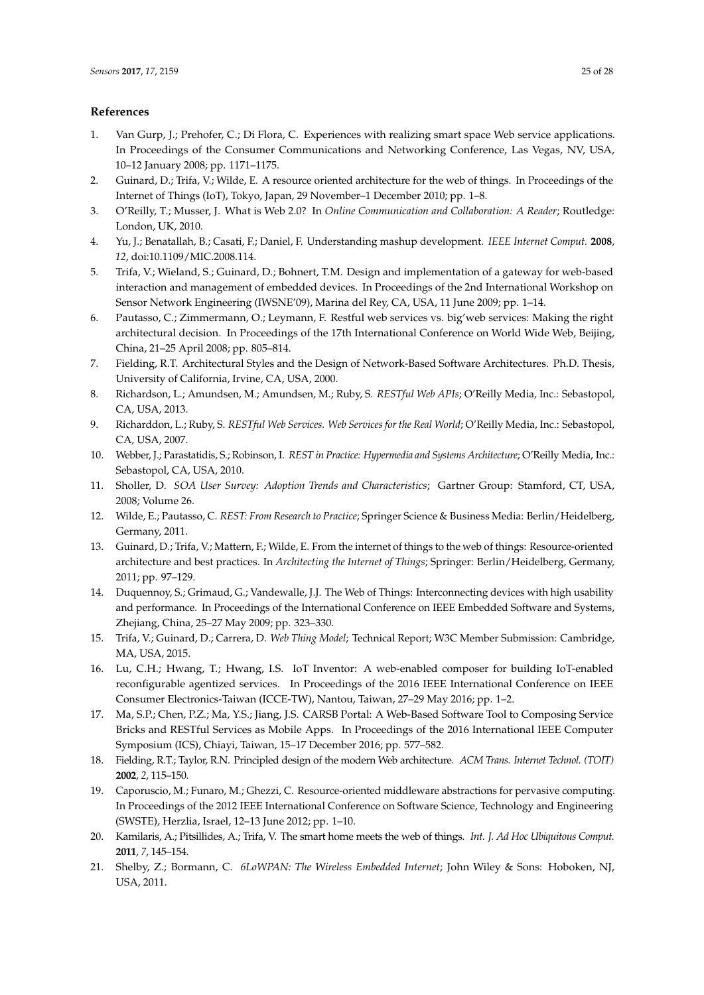# **References**

- <span id="page-24-0"></span>1. Van Gurp, J.; Prehofer, C.; Di Flora, C. Experiences with realizing smart space Web service applications. In Proceedings of the Consumer Communications and Networking Conference, Las Vegas, NV, USA, 10–12 January 2008; pp. 1171–1175.
- <span id="page-24-1"></span>2. Guinard, D.; Trifa, V.; Wilde, E. A resource oriented architecture for the web of things. In Proceedings of the Internet of Things (IoT), Tokyo, Japan, 29 November–1 December 2010; pp. 1–8.
- <span id="page-24-2"></span>3. O'Reilly, T.; Musser, J. What is Web 2.0? In *Online Communication and Collaboration: A Reader*; Routledge: London, UK, 2010.
- <span id="page-24-3"></span>4. Yu, J.; Benatallah, B.; Casati, F.; Daniel, F. Understanding mashup development. *IEEE Internet Comput.* **2008**, *12*, doi:10.1109/MIC.2008.114.
- <span id="page-24-4"></span>5. Trifa, V.; Wieland, S.; Guinard, D.; Bohnert, T.M. Design and implementation of a gateway for web-based interaction and management of embedded devices. In Proceedings of the 2nd International Workshop on Sensor Network Engineering (IWSNE'09), Marina del Rey, CA, USA, 11 June 2009; pp. 1–14.
- <span id="page-24-5"></span>6. Pautasso, C.; Zimmermann, O.; Leymann, F. Restful web services vs. big'web services: Making the right architectural decision. In Proceedings of the 17th International Conference on World Wide Web, Beijing, China, 21–25 April 2008; pp. 805–814.
- <span id="page-24-6"></span>7. Fielding, R.T. Architectural Styles and the Design of Network-Based Software Architectures. Ph.D. Thesis, University of California, Irvine, CA, USA, 2000.
- <span id="page-24-7"></span>8. Richardson, L.; Amundsen, M.; Amundsen, M.; Ruby, S. *RESTful Web APIs*; O'Reilly Media, Inc.: Sebastopol, CA, USA, 2013.
- <span id="page-24-8"></span>9. Richarddon, L.; Ruby, S. *RESTful Web Services. Web Services for the Real World*; O'Reilly Media, Inc.: Sebastopol, CA, USA, 2007.
- <span id="page-24-9"></span>10. Webber, J.; Parastatidis, S.; Robinson, I. *REST in Practice: Hypermedia and Systems Architecture*; O'Reilly Media, Inc.: Sebastopol, CA, USA, 2010.
- <span id="page-24-10"></span>11. Sholler, D. *SOA User Survey: Adoption Trends and Characteristics*; Gartner Group: Stamford, CT, USA, 2008; Volume 26.
- <span id="page-24-11"></span>12. Wilde, E.; Pautasso, C. *REST: From Research to Practice*; Springer Science & Business Media: Berlin/Heidelberg, Germany, 2011.
- <span id="page-24-12"></span>13. Guinard, D.; Trifa, V.; Mattern, F.; Wilde, E. From the internet of things to the web of things: Resource-oriented architecture and best practices. In *Architecting the Internet of Things*; Springer: Berlin/Heidelberg, Germany, 2011; pp. 97–129.
- <span id="page-24-13"></span>14. Duquennoy, S.; Grimaud, G.; Vandewalle, J.J. The Web of Things: Interconnecting devices with high usability and performance. In Proceedings of the International Conference on IEEE Embedded Software and Systems, Zhejiang, China, 25–27 May 2009; pp. 323–330.
- <span id="page-24-14"></span>15. Trifa, V.; Guinard, D.; Carrera, D. *Web Thing Model*; Technical Report; W3C Member Submission: Cambridge, MA, USA, 2015.
- <span id="page-24-15"></span>16. Lu, C.H.; Hwang, T.; Hwang, I.S. IoT Inventor: A web-enabled composer for building IoT-enabled reconfigurable agentized services. In Proceedings of the 2016 IEEE International Conference on IEEE Consumer Electronics-Taiwan (ICCE-TW), Nantou, Taiwan, 27–29 May 2016; pp. 1–2.
- <span id="page-24-16"></span>17. Ma, S.P.; Chen, P.Z.; Ma, Y.S.; Jiang, J.S. CARSB Portal: A Web-Based Software Tool to Composing Service Bricks and RESTful Services as Mobile Apps. In Proceedings of the 2016 International IEEE Computer Symposium (ICS), Chiayi, Taiwan, 15–17 December 2016; pp. 577–582.
- <span id="page-24-17"></span>18. Fielding, R.T.; Taylor, R.N. Principled design of the modern Web architecture. *ACM Trans. Internet Technol. (TOIT)* **2002**, *2*, 115–150.
- <span id="page-24-18"></span>19. Caporuscio, M.; Funaro, M.; Ghezzi, C. Resource-oriented middleware abstractions for pervasive computing. In Proceedings of the 2012 IEEE International Conference on Software Science, Technology and Engineering (SWSTE), Herzlia, Israel, 12–13 June 2012; pp. 1–10.
- <span id="page-24-19"></span>20. Kamilaris, A.; Pitsillides, A.; Trifa, V. The smart home meets the web of things. *Int. J. Ad Hoc Ubiquitous Comput.* **2011**, *7*, 145–154.
- <span id="page-24-20"></span>21. Shelby, Z.; Bormann, C. *6LoWPAN: The Wireless Embedded Internet*; John Wiley & Sons: Hoboken, NJ, USA, 2011.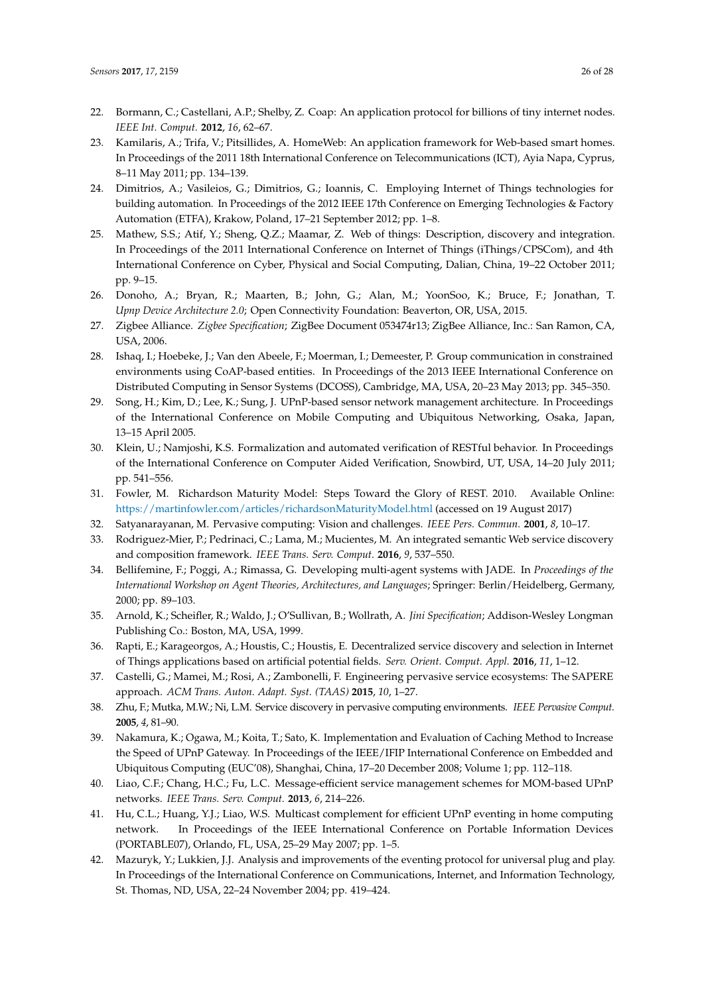- <span id="page-25-0"></span>22. Bormann, C.; Castellani, A.P.; Shelby, Z. Coap: An application protocol for billions of tiny internet nodes. *IEEE Int. Comput.* **2012**, *16*, 62–67.
- <span id="page-25-1"></span>23. Kamilaris, A.; Trifa, V.; Pitsillides, A. HomeWeb: An application framework for Web-based smart homes. In Proceedings of the 2011 18th International Conference on Telecommunications (ICT), Ayia Napa, Cyprus, 8–11 May 2011; pp. 134–139.
- <span id="page-25-2"></span>24. Dimitrios, A.; Vasileios, G.; Dimitrios, G.; Ioannis, C. Employing Internet of Things technologies for building automation. In Proceedings of the 2012 IEEE 17th Conference on Emerging Technologies & Factory Automation (ETFA), Krakow, Poland, 17–21 September 2012; pp. 1–8.
- <span id="page-25-3"></span>25. Mathew, S.S.; Atif, Y.; Sheng, Q.Z.; Maamar, Z. Web of things: Description, discovery and integration. In Proceedings of the 2011 International Conference on Internet of Things (iThings/CPSCom), and 4th International Conference on Cyber, Physical and Social Computing, Dalian, China, 19–22 October 2011; pp. 9–15.
- <span id="page-25-4"></span>26. Donoho, A.; Bryan, R.; Maarten, B.; John, G.; Alan, M.; YoonSoo, K.; Bruce, F.; Jonathan, T. *Upnp Device Architecture 2.0*; Open Connectivity Foundation: Beaverton, OR, USA, 2015.
- <span id="page-25-5"></span>27. Zigbee Alliance. *Zigbee Specification*; ZigBee Document 053474r13; ZigBee Alliance, Inc.: San Ramon, CA, USA, 2006.
- <span id="page-25-6"></span>28. Ishaq, I.; Hoebeke, J.; Van den Abeele, F.; Moerman, I.; Demeester, P. Group communication in constrained environments using CoAP-based entities. In Proceedings of the 2013 IEEE International Conference on Distributed Computing in Sensor Systems (DCOSS), Cambridge, MA, USA, 20–23 May 2013; pp. 345–350.
- <span id="page-25-7"></span>29. Song, H.; Kim, D.; Lee, K.; Sung, J. UPnP-based sensor network management architecture. In Proceedings of the International Conference on Mobile Computing and Ubiquitous Networking, Osaka, Japan, 13–15 April 2005.
- <span id="page-25-8"></span>30. Klein, U.; Namjoshi, K.S. Formalization and automated verification of RESTful behavior. In Proceedings of the International Conference on Computer Aided Verification, Snowbird, UT, USA, 14–20 July 2011; pp. 541–556.
- <span id="page-25-9"></span>31. Fowler, M. Richardson Maturity Model: Steps Toward the Glory of REST. 2010. Available Online: <https://martinfowler.com/articles/richardsonMaturityModel.html> (accessed on 19 August 2017)
- <span id="page-25-10"></span>32. Satyanarayanan, M. Pervasive computing: Vision and challenges. *IEEE Pers. Commun.* **2001**, *8*, 10–17.
- <span id="page-25-11"></span>33. Rodriguez-Mier, P.; Pedrinaci, C.; Lama, M.; Mucientes, M. An integrated semantic Web service discovery and composition framework. *IEEE Trans. Serv. Comput.* **2016**, *9*, 537–550.
- 34. Bellifemine, F.; Poggi, A.; Rimassa, G. Developing multi-agent systems with JADE. In *Proceedings of the International Workshop on Agent Theories, Architectures, and Languages*; Springer: Berlin/Heidelberg, Germany, 2000; pp. 89–103.
- <span id="page-25-12"></span>35. Arnold, K.; Scheifler, R.; Waldo, J.; O'Sullivan, B.; Wollrath, A. *Jini Specification*; Addison-Wesley Longman Publishing Co.: Boston, MA, USA, 1999.
- <span id="page-25-13"></span>36. Rapti, E.; Karageorgos, A.; Houstis, C.; Houstis, E. Decentralized service discovery and selection in Internet of Things applications based on artificial potential fields. *Serv. Orient. Comput. Appl.* **2016**, *11*, 1–12.
- <span id="page-25-14"></span>37. Castelli, G.; Mamei, M.; Rosi, A.; Zambonelli, F. Engineering pervasive service ecosystems: The SAPERE approach. *ACM Trans. Auton. Adapt. Syst. (TAAS)* **2015**, *10*, 1–27.
- <span id="page-25-15"></span>38. Zhu, F.; Mutka, M.W.; Ni, L.M. Service discovery in pervasive computing environments. *IEEE Pervasive Comput.* **2005**, *4*, 81–90.
- <span id="page-25-16"></span>39. Nakamura, K.; Ogawa, M.; Koita, T.; Sato, K. Implementation and Evaluation of Caching Method to Increase the Speed of UPnP Gateway. In Proceedings of the IEEE/IFIP International Conference on Embedded and Ubiquitous Computing (EUC'08), Shanghai, China, 17–20 December 2008; Volume 1; pp. 112–118.
- <span id="page-25-17"></span>40. Liao, C.F.; Chang, H.C.; Fu, L.C. Message-efficient service management schemes for MOM-based UPnP networks. *IEEE Trans. Serv. Comput.* **2013**, *6*, 214–226.
- <span id="page-25-18"></span>41. Hu, C.L.; Huang, Y.J.; Liao, W.S. Multicast complement for efficient UPnP eventing in home computing network. In Proceedings of the IEEE International Conference on Portable Information Devices (PORTABLE07), Orlando, FL, USA, 25–29 May 2007; pp. 1–5.
- <span id="page-25-19"></span>42. Mazuryk, Y.; Lukkien, J.J. Analysis and improvements of the eventing protocol for universal plug and play. In Proceedings of the International Conference on Communications, Internet, and Information Technology, St. Thomas, ND, USA, 22–24 November 2004; pp. 419–424.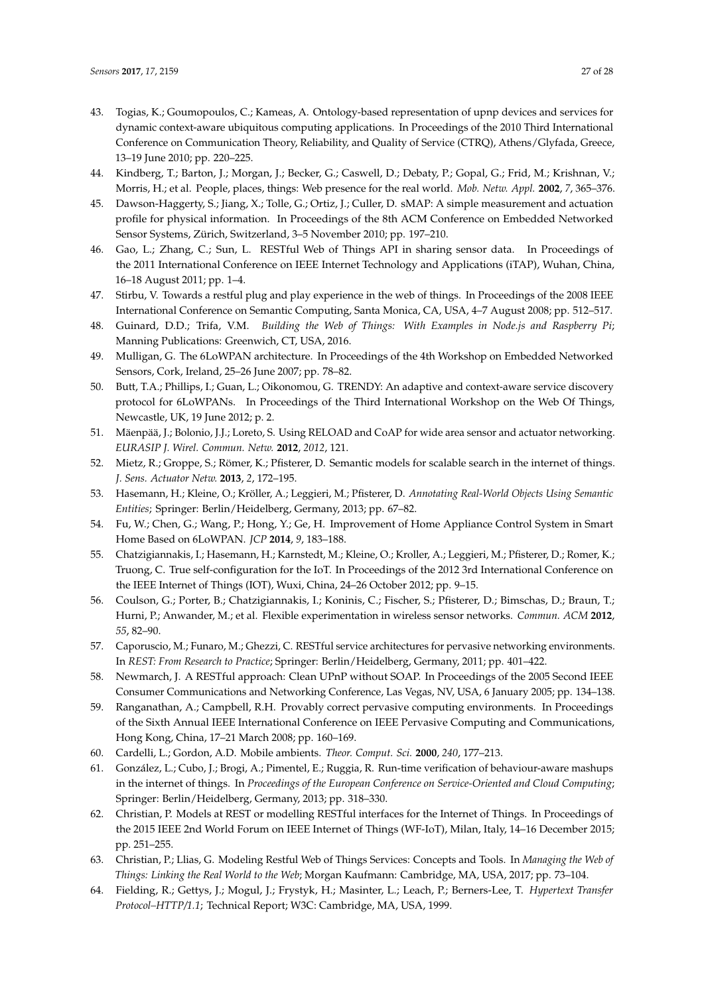- <span id="page-26-0"></span>43. Togias, K.; Goumopoulos, C.; Kameas, A. Ontology-based representation of upnp devices and services for dynamic context-aware ubiquitous computing applications. In Proceedings of the 2010 Third International Conference on Communication Theory, Reliability, and Quality of Service (CTRQ), Athens/Glyfada, Greece, 13–19 June 2010; pp. 220–225.
- <span id="page-26-1"></span>44. Kindberg, T.; Barton, J.; Morgan, J.; Becker, G.; Caswell, D.; Debaty, P.; Gopal, G.; Frid, M.; Krishnan, V.; Morris, H.; et al. People, places, things: Web presence for the real world. *Mob. Netw. Appl.* **2002**, *7*, 365–376.
- <span id="page-26-2"></span>45. Dawson-Haggerty, S.; Jiang, X.; Tolle, G.; Ortiz, J.; Culler, D. sMAP: A simple measurement and actuation profile for physical information. In Proceedings of the 8th ACM Conference on Embedded Networked Sensor Systems, Zürich, Switzerland, 3–5 November 2010; pp. 197–210.
- <span id="page-26-3"></span>46. Gao, L.; Zhang, C.; Sun, L. RESTful Web of Things API in sharing sensor data. In Proceedings of the 2011 International Conference on IEEE Internet Technology and Applications (iTAP), Wuhan, China, 16–18 August 2011; pp. 1–4.
- <span id="page-26-4"></span>47. Stirbu, V. Towards a restful plug and play experience in the web of things. In Proceedings of the 2008 IEEE International Conference on Semantic Computing, Santa Monica, CA, USA, 4–7 August 2008; pp. 512–517.
- <span id="page-26-5"></span>48. Guinard, D.D.; Trifa, V.M. *Building the Web of Things: With Examples in Node.js and Raspberry Pi*; Manning Publications: Greenwich, CT, USA, 2016.
- <span id="page-26-6"></span>49. Mulligan, G. The 6LoWPAN architecture. In Proceedings of the 4th Workshop on Embedded Networked Sensors, Cork, Ireland, 25–26 June 2007; pp. 78–82.
- <span id="page-26-7"></span>50. Butt, T.A.; Phillips, I.; Guan, L.; Oikonomou, G. TRENDY: An adaptive and context-aware service discovery protocol for 6LoWPANs. In Proceedings of the Third International Workshop on the Web Of Things, Newcastle, UK, 19 June 2012; p. 2.
- <span id="page-26-8"></span>51. Mäenpää, J.; Bolonio, J.J.; Loreto, S. Using RELOAD and CoAP for wide area sensor and actuator networking. *EURASIP J. Wirel. Commun. Netw.* **2012**, *2012*, 121.
- <span id="page-26-9"></span>52. Mietz, R.; Groppe, S.; Römer, K.; Pfisterer, D. Semantic models for scalable search in the internet of things. *J. Sens. Actuator Netw.* **2013**, *2*, 172–195.
- <span id="page-26-10"></span>53. Hasemann, H.; Kleine, O.; Kröller, A.; Leggieri, M.; Pfisterer, D. *Annotating Real-World Objects Using Semantic Entities*; Springer: Berlin/Heidelberg, Germany, 2013; pp. 67–82.
- <span id="page-26-11"></span>54. Fu, W.; Chen, G.; Wang, P.; Hong, Y.; Ge, H. Improvement of Home Appliance Control System in Smart Home Based on 6LoWPAN. *JCP* **2014**, *9*, 183–188.
- <span id="page-26-12"></span>55. Chatzigiannakis, I.; Hasemann, H.; Karnstedt, M.; Kleine, O.; Kroller, A.; Leggieri, M.; Pfisterer, D.; Romer, K.; Truong, C. True self-configuration for the IoT. In Proceedings of the 2012 3rd International Conference on the IEEE Internet of Things (IOT), Wuxi, China, 24–26 October 2012; pp. 9–15.
- <span id="page-26-13"></span>56. Coulson, G.; Porter, B.; Chatzigiannakis, I.; Koninis, C.; Fischer, S.; Pfisterer, D.; Bimschas, D.; Braun, T.; Hurni, P.; Anwander, M.; et al. Flexible experimentation in wireless sensor networks. *Commun. ACM* **2012**, *55*, 82–90.
- <span id="page-26-14"></span>57. Caporuscio, M.; Funaro, M.; Ghezzi, C. RESTful service architectures for pervasive networking environments. In *REST: From Research to Practice*; Springer: Berlin/Heidelberg, Germany, 2011; pp. 401–422.
- <span id="page-26-15"></span>58. Newmarch, J. A RESTful approach: Clean UPnP without SOAP. In Proceedings of the 2005 Second IEEE Consumer Communications and Networking Conference, Las Vegas, NV, USA, 6 January 2005; pp. 134–138.
- <span id="page-26-16"></span>59. Ranganathan, A.; Campbell, R.H. Provably correct pervasive computing environments. In Proceedings of the Sixth Annual IEEE International Conference on IEEE Pervasive Computing and Communications, Hong Kong, China, 17–21 March 2008; pp. 160–169.
- <span id="page-26-17"></span>60. Cardelli, L.; Gordon, A.D. Mobile ambients. *Theor. Comput. Sci.* **2000**, *240*, 177–213.
- <span id="page-26-18"></span>61. González, L.; Cubo, J.; Brogi, A.; Pimentel, E.; Ruggia, R. Run-time verification of behaviour-aware mashups in the internet of things. In *Proceedings of the European Conference on Service-Oriented and Cloud Computing*; Springer: Berlin/Heidelberg, Germany, 2013; pp. 318–330.
- <span id="page-26-19"></span>62. Christian, P. Models at REST or modelling RESTful interfaces for the Internet of Things. In Proceedings of the 2015 IEEE 2nd World Forum on IEEE Internet of Things (WF-IoT), Milan, Italy, 14–16 December 2015; pp. 251–255.
- <span id="page-26-20"></span>63. Christian, P.; Llias, G. Modeling Restful Web of Things Services: Concepts and Tools. In *Managing the Web of Things: Linking the Real World to the Web*; Morgan Kaufmann: Cambridge, MA, USA, 2017; pp. 73–104.
- <span id="page-26-21"></span>64. Fielding, R.; Gettys, J.; Mogul, J.; Frystyk, H.; Masinter, L.; Leach, P.; Berners-Lee, T. *Hypertext Transfer Protocol–HTTP/1.1*; Technical Report; W3C: Cambridge, MA, USA, 1999.